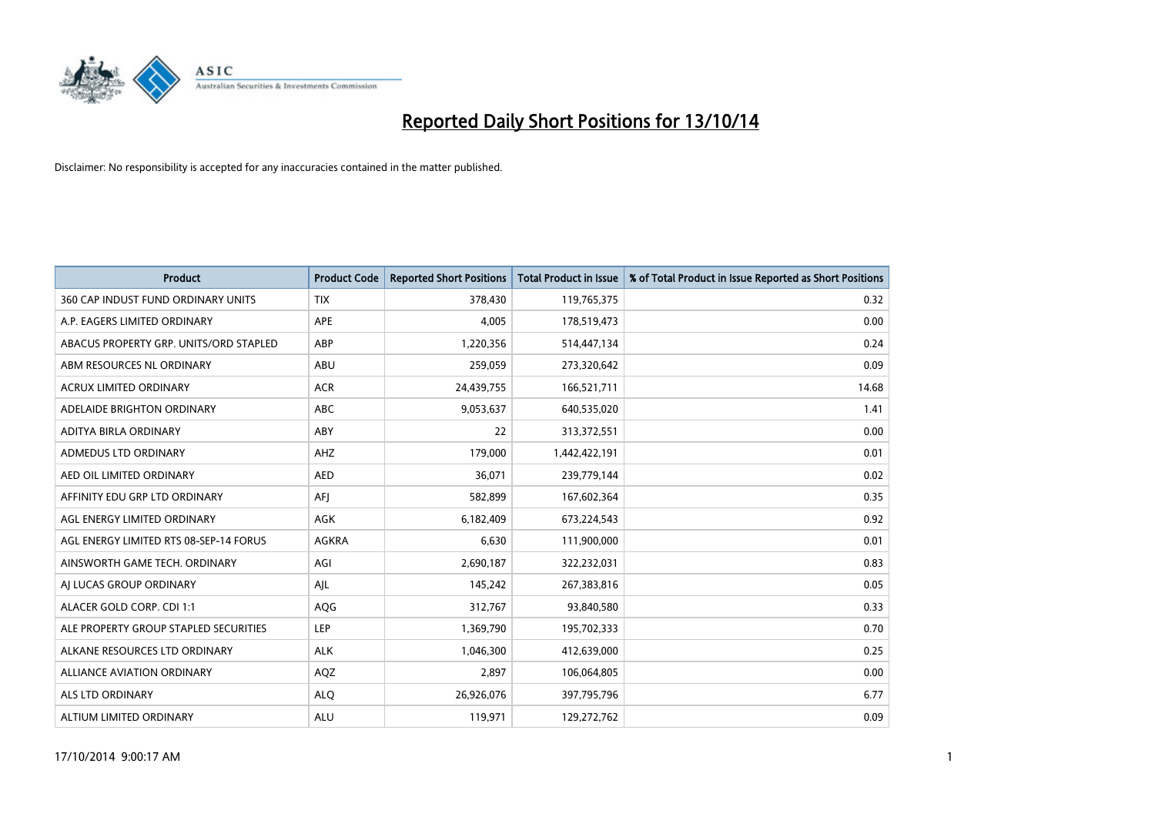

| <b>Product</b>                         | <b>Product Code</b> | <b>Reported Short Positions</b> | <b>Total Product in Issue</b> | % of Total Product in Issue Reported as Short Positions |
|----------------------------------------|---------------------|---------------------------------|-------------------------------|---------------------------------------------------------|
| 360 CAP INDUST FUND ORDINARY UNITS     | <b>TIX</b>          | 378,430                         | 119,765,375                   | 0.32                                                    |
| A.P. EAGERS LIMITED ORDINARY           | APE                 | 4,005                           | 178,519,473                   | 0.00                                                    |
| ABACUS PROPERTY GRP. UNITS/ORD STAPLED | ABP                 | 1,220,356                       | 514,447,134                   | 0.24                                                    |
| ABM RESOURCES NL ORDINARY              | ABU                 | 259,059                         | 273,320,642                   | 0.09                                                    |
| <b>ACRUX LIMITED ORDINARY</b>          | <b>ACR</b>          | 24,439,755                      | 166,521,711                   | 14.68                                                   |
| ADELAIDE BRIGHTON ORDINARY             | <b>ABC</b>          | 9,053,637                       | 640,535,020                   | 1.41                                                    |
| ADITYA BIRLA ORDINARY                  | <b>ABY</b>          | 22                              | 313,372,551                   | 0.00                                                    |
| ADMEDUS LTD ORDINARY                   | AHZ                 | 179,000                         | 1,442,422,191                 | 0.01                                                    |
| AED OIL LIMITED ORDINARY               | <b>AED</b>          | 36,071                          | 239,779,144                   | 0.02                                                    |
| AFFINITY EDU GRP LTD ORDINARY          | AFI                 | 582,899                         | 167,602,364                   | 0.35                                                    |
| AGL ENERGY LIMITED ORDINARY            | AGK                 | 6,182,409                       | 673,224,543                   | 0.92                                                    |
| AGL ENERGY LIMITED RTS 08-SEP-14 FORUS | AGKRA               | 6,630                           | 111,900,000                   | 0.01                                                    |
| AINSWORTH GAME TECH. ORDINARY          | AGI                 | 2,690,187                       | 322,232,031                   | 0.83                                                    |
| AI LUCAS GROUP ORDINARY                | AJL                 | 145,242                         | 267,383,816                   | 0.05                                                    |
| ALACER GOLD CORP. CDI 1:1              | AQG                 | 312,767                         | 93,840,580                    | 0.33                                                    |
| ALE PROPERTY GROUP STAPLED SECURITIES  | LEP                 | 1,369,790                       | 195,702,333                   | 0.70                                                    |
| ALKANE RESOURCES LTD ORDINARY          | <b>ALK</b>          | 1,046,300                       | 412,639,000                   | 0.25                                                    |
| ALLIANCE AVIATION ORDINARY             | AQZ                 | 2,897                           | 106,064,805                   | 0.00                                                    |
| ALS LTD ORDINARY                       | <b>ALO</b>          | 26,926,076                      | 397,795,796                   | 6.77                                                    |
| ALTIUM LIMITED ORDINARY                | <b>ALU</b>          | 119,971                         | 129,272,762                   | 0.09                                                    |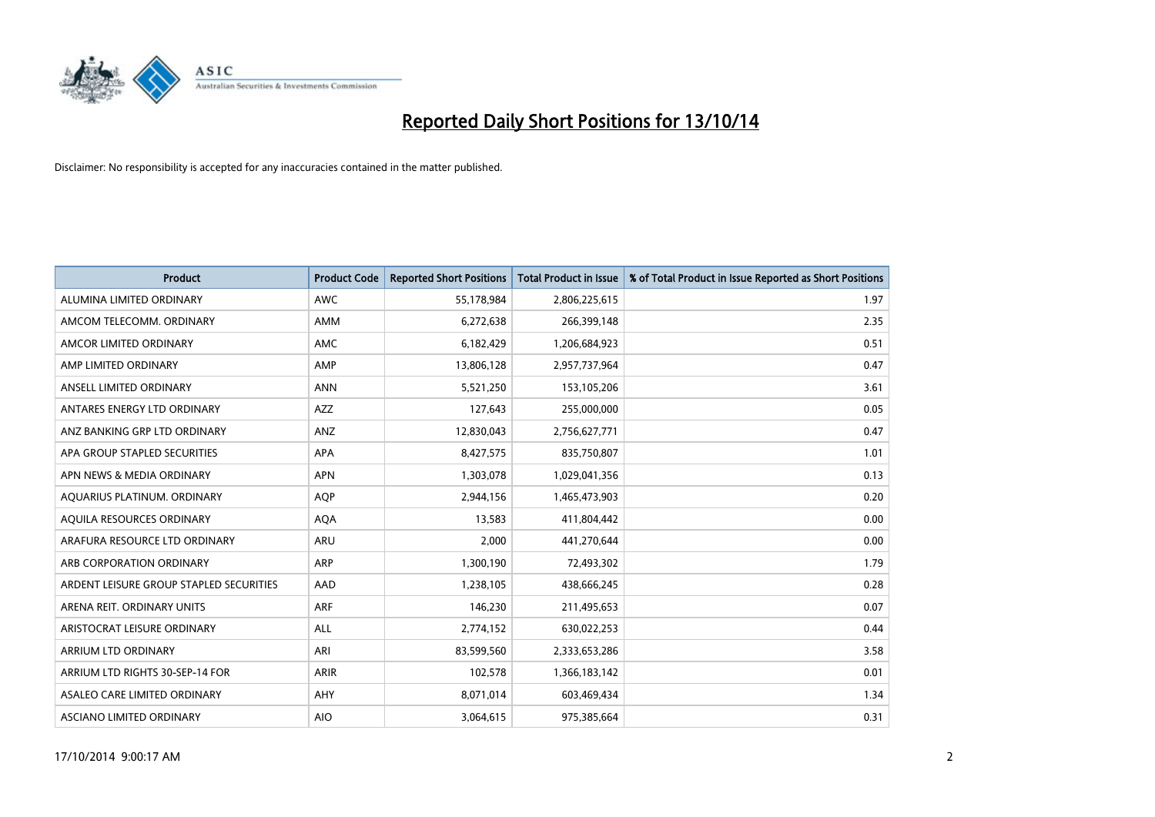

| <b>Product</b>                          | <b>Product Code</b> | <b>Reported Short Positions</b> | <b>Total Product in Issue</b> | % of Total Product in Issue Reported as Short Positions |
|-----------------------------------------|---------------------|---------------------------------|-------------------------------|---------------------------------------------------------|
| ALUMINA LIMITED ORDINARY                | <b>AWC</b>          | 55,178,984                      | 2,806,225,615                 | 1.97                                                    |
| AMCOM TELECOMM. ORDINARY                | AMM                 | 6,272,638                       | 266,399,148                   | 2.35                                                    |
| AMCOR LIMITED ORDINARY                  | <b>AMC</b>          | 6,182,429                       | 1,206,684,923                 | 0.51                                                    |
| AMP LIMITED ORDINARY                    | AMP                 | 13,806,128                      | 2,957,737,964                 | 0.47                                                    |
| ANSELL LIMITED ORDINARY                 | <b>ANN</b>          | 5,521,250                       | 153,105,206                   | 3.61                                                    |
| ANTARES ENERGY LTD ORDINARY             | <b>AZZ</b>          | 127,643                         | 255,000,000                   | 0.05                                                    |
| ANZ BANKING GRP LTD ORDINARY            | ANZ                 | 12,830,043                      | 2,756,627,771                 | 0.47                                                    |
| APA GROUP STAPLED SECURITIES            | APA                 | 8,427,575                       | 835,750,807                   | 1.01                                                    |
| APN NEWS & MEDIA ORDINARY               | <b>APN</b>          | 1,303,078                       | 1,029,041,356                 | 0.13                                                    |
| AQUARIUS PLATINUM. ORDINARY             | <b>AOP</b>          | 2,944,156                       | 1,465,473,903                 | 0.20                                                    |
| AQUILA RESOURCES ORDINARY               | <b>AQA</b>          | 13,583                          | 411,804,442                   | 0.00                                                    |
| ARAFURA RESOURCE LTD ORDINARY           | <b>ARU</b>          | 2,000                           | 441,270,644                   | 0.00                                                    |
| ARB CORPORATION ORDINARY                | ARP                 | 1,300,190                       | 72,493,302                    | 1.79                                                    |
| ARDENT LEISURE GROUP STAPLED SECURITIES | AAD                 | 1,238,105                       | 438,666,245                   | 0.28                                                    |
| ARENA REIT. ORDINARY UNITS              | <b>ARF</b>          | 146,230                         | 211,495,653                   | 0.07                                                    |
| ARISTOCRAT LEISURE ORDINARY             | ALL                 | 2,774,152                       | 630,022,253                   | 0.44                                                    |
| ARRIUM LTD ORDINARY                     | ARI                 | 83,599,560                      | 2,333,653,286                 | 3.58                                                    |
| ARRIUM LTD RIGHTS 30-SEP-14 FOR         | <b>ARIR</b>         | 102,578                         | 1,366,183,142                 | 0.01                                                    |
| ASALEO CARE LIMITED ORDINARY            | <b>AHY</b>          | 8,071,014                       | 603,469,434                   | 1.34                                                    |
| ASCIANO LIMITED ORDINARY                | <b>AIO</b>          | 3,064,615                       | 975,385,664                   | 0.31                                                    |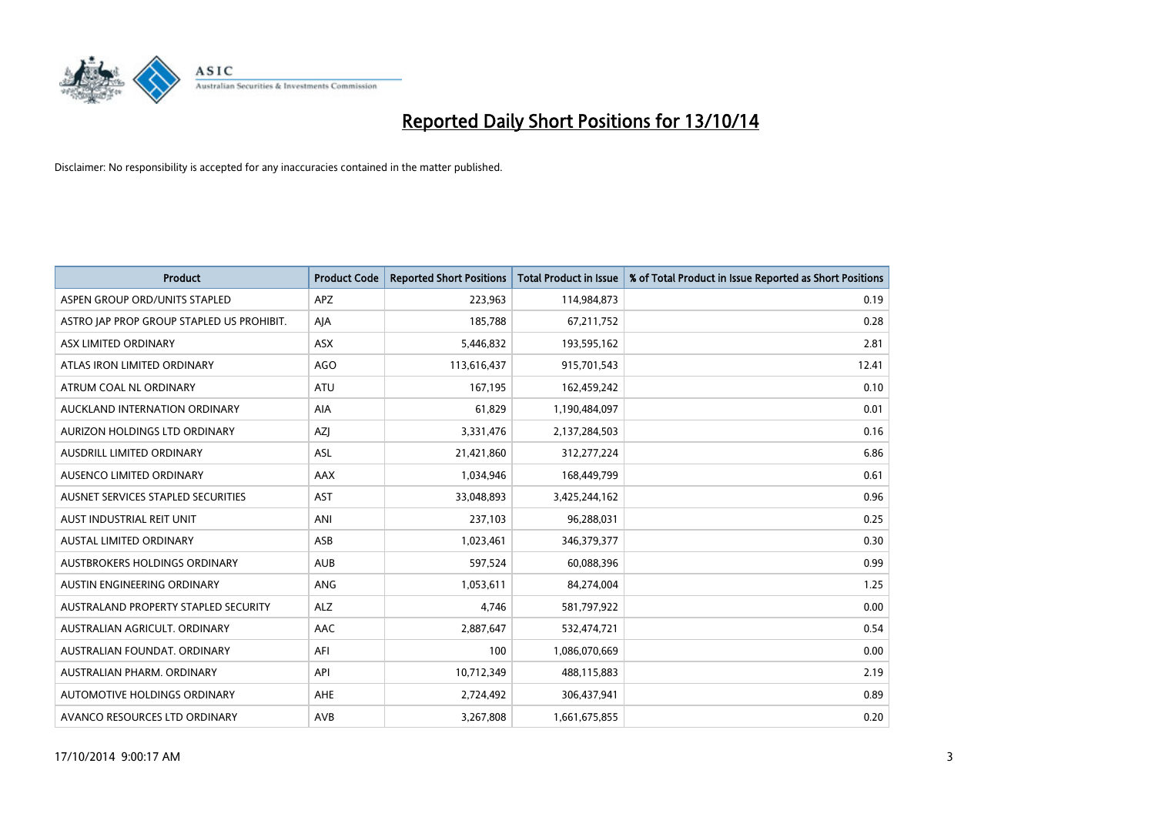

| <b>Product</b>                            | <b>Product Code</b> | <b>Reported Short Positions</b> | <b>Total Product in Issue</b> | % of Total Product in Issue Reported as Short Positions |
|-------------------------------------------|---------------------|---------------------------------|-------------------------------|---------------------------------------------------------|
| ASPEN GROUP ORD/UNITS STAPLED             | <b>APZ</b>          | 223,963                         | 114,984,873                   | 0.19                                                    |
| ASTRO JAP PROP GROUP STAPLED US PROHIBIT. | AJA                 | 185,788                         | 67,211,752                    | 0.28                                                    |
| ASX LIMITED ORDINARY                      | <b>ASX</b>          | 5,446,832                       | 193,595,162                   | 2.81                                                    |
| ATLAS IRON LIMITED ORDINARY               | AGO                 | 113,616,437                     | 915,701,543                   | 12.41                                                   |
| ATRUM COAL NL ORDINARY                    | ATU                 | 167,195                         | 162,459,242                   | 0.10                                                    |
| AUCKLAND INTERNATION ORDINARY             | <b>AIA</b>          | 61,829                          | 1,190,484,097                 | 0.01                                                    |
| AURIZON HOLDINGS LTD ORDINARY             | AZJ                 | 3,331,476                       | 2,137,284,503                 | 0.16                                                    |
| AUSDRILL LIMITED ORDINARY                 | <b>ASL</b>          | 21,421,860                      | 312,277,224                   | 6.86                                                    |
| AUSENCO LIMITED ORDINARY                  | AAX                 | 1,034,946                       | 168,449,799                   | 0.61                                                    |
| AUSNET SERVICES STAPLED SECURITIES        | <b>AST</b>          | 33,048,893                      | 3,425,244,162                 | 0.96                                                    |
| AUST INDUSTRIAL REIT UNIT                 | ANI                 | 237,103                         | 96,288,031                    | 0.25                                                    |
| AUSTAL LIMITED ORDINARY                   | ASB                 | 1,023,461                       | 346,379,377                   | 0.30                                                    |
| AUSTBROKERS HOLDINGS ORDINARY             | <b>AUB</b>          | 597,524                         | 60,088,396                    | 0.99                                                    |
| AUSTIN ENGINEERING ORDINARY               | ANG                 | 1,053,611                       | 84,274,004                    | 1.25                                                    |
| AUSTRALAND PROPERTY STAPLED SECURITY      | <b>ALZ</b>          | 4,746                           | 581,797,922                   | 0.00                                                    |
| AUSTRALIAN AGRICULT. ORDINARY             | AAC                 | 2,887,647                       | 532,474,721                   | 0.54                                                    |
| AUSTRALIAN FOUNDAT. ORDINARY              | AFI                 | 100                             | 1,086,070,669                 | 0.00                                                    |
| AUSTRALIAN PHARM. ORDINARY                | API                 | 10,712,349                      | 488,115,883                   | 2.19                                                    |
| AUTOMOTIVE HOLDINGS ORDINARY              | AHE                 | 2,724,492                       | 306,437,941                   | 0.89                                                    |
| AVANCO RESOURCES LTD ORDINARY             | AVB                 | 3,267,808                       | 1,661,675,855                 | 0.20                                                    |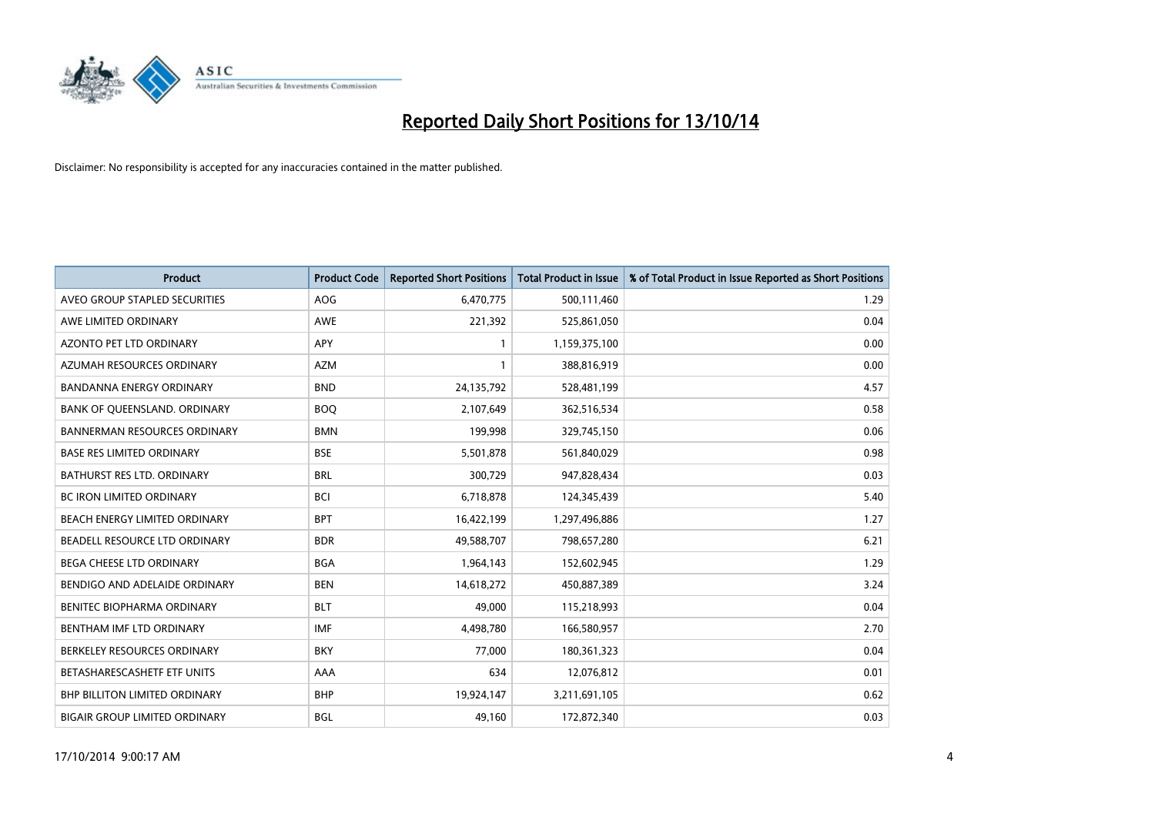

| <b>Product</b>                       | <b>Product Code</b> | <b>Reported Short Positions</b> | <b>Total Product in Issue</b> | % of Total Product in Issue Reported as Short Positions |
|--------------------------------------|---------------------|---------------------------------|-------------------------------|---------------------------------------------------------|
| AVEO GROUP STAPLED SECURITIES        | <b>AOG</b>          | 6,470,775                       | 500,111,460                   | 1.29                                                    |
| AWE LIMITED ORDINARY                 | AWE                 | 221,392                         | 525,861,050                   | 0.04                                                    |
| AZONTO PET LTD ORDINARY              | APY                 | $\mathbf{1}$                    | 1,159,375,100                 | 0.00                                                    |
| AZUMAH RESOURCES ORDINARY            | AZM                 | $\mathbf{1}$                    | 388,816,919                   | 0.00                                                    |
| <b>BANDANNA ENERGY ORDINARY</b>      | <b>BND</b>          | 24,135,792                      | 528,481,199                   | 4.57                                                    |
| BANK OF QUEENSLAND. ORDINARY         | <b>BOO</b>          | 2,107,649                       | 362,516,534                   | 0.58                                                    |
| <b>BANNERMAN RESOURCES ORDINARY</b>  | <b>BMN</b>          | 199,998                         | 329,745,150                   | 0.06                                                    |
| <b>BASE RES LIMITED ORDINARY</b>     | <b>BSE</b>          | 5,501,878                       | 561,840,029                   | 0.98                                                    |
| BATHURST RES LTD. ORDINARY           | <b>BRL</b>          | 300,729                         | 947,828,434                   | 0.03                                                    |
| <b>BC IRON LIMITED ORDINARY</b>      | <b>BCI</b>          | 6,718,878                       | 124,345,439                   | 5.40                                                    |
| BEACH ENERGY LIMITED ORDINARY        | <b>BPT</b>          | 16,422,199                      | 1,297,496,886                 | 1.27                                                    |
| BEADELL RESOURCE LTD ORDINARY        | <b>BDR</b>          | 49,588,707                      | 798,657,280                   | 6.21                                                    |
| BEGA CHEESE LTD ORDINARY             | <b>BGA</b>          | 1,964,143                       | 152,602,945                   | 1.29                                                    |
| BENDIGO AND ADELAIDE ORDINARY        | <b>BEN</b>          | 14,618,272                      | 450,887,389                   | 3.24                                                    |
| BENITEC BIOPHARMA ORDINARY           | <b>BLT</b>          | 49,000                          | 115,218,993                   | 0.04                                                    |
| BENTHAM IMF LTD ORDINARY             | <b>IMF</b>          | 4,498,780                       | 166,580,957                   | 2.70                                                    |
| BERKELEY RESOURCES ORDINARY          | <b>BKY</b>          | 77,000                          | 180,361,323                   | 0.04                                                    |
| BETASHARESCASHETF ETF UNITS          | AAA                 | 634                             | 12,076,812                    | 0.01                                                    |
| BHP BILLITON LIMITED ORDINARY        | <b>BHP</b>          | 19,924,147                      | 3,211,691,105                 | 0.62                                                    |
| <b>BIGAIR GROUP LIMITED ORDINARY</b> | <b>BGL</b>          | 49,160                          | 172,872,340                   | 0.03                                                    |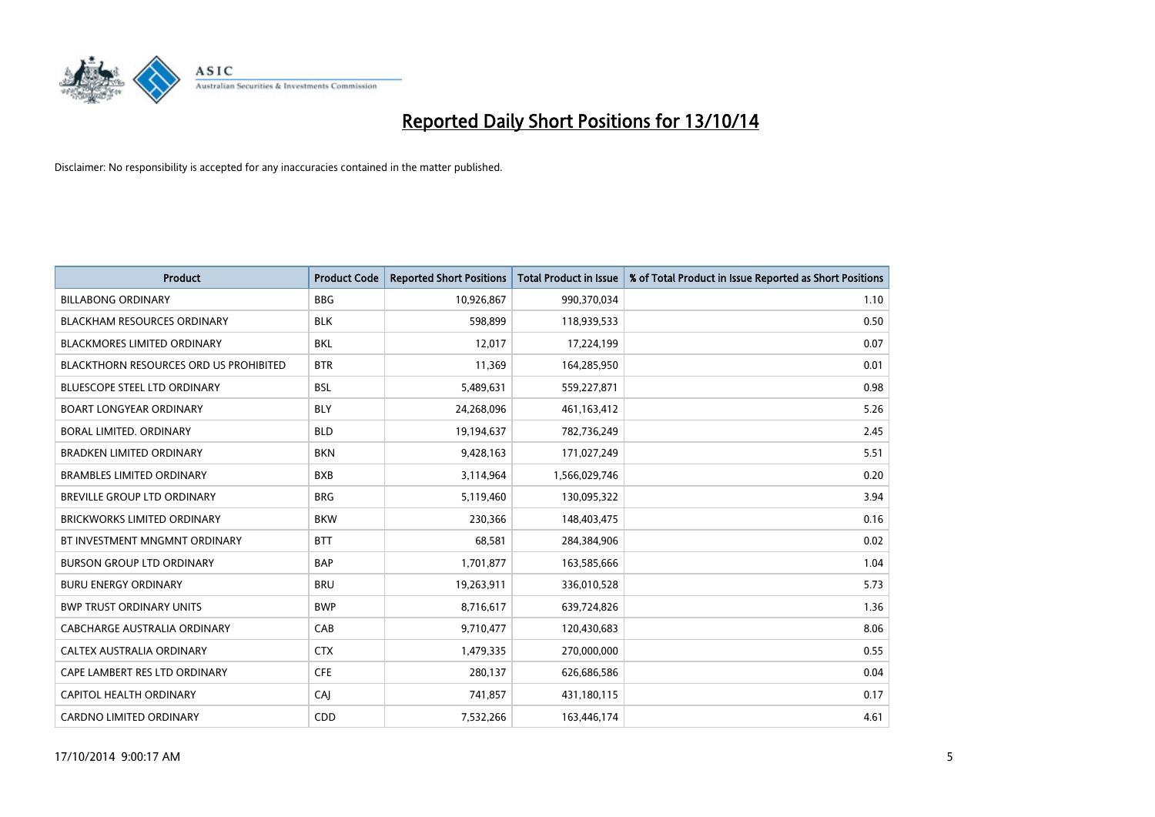

| <b>Product</b>                         | <b>Product Code</b> | <b>Reported Short Positions</b> | <b>Total Product in Issue</b> | % of Total Product in Issue Reported as Short Positions |
|----------------------------------------|---------------------|---------------------------------|-------------------------------|---------------------------------------------------------|
| <b>BILLABONG ORDINARY</b>              | <b>BBG</b>          | 10,926,867                      | 990,370,034                   | 1.10                                                    |
| <b>BLACKHAM RESOURCES ORDINARY</b>     | <b>BLK</b>          | 598,899                         | 118,939,533                   | 0.50                                                    |
| <b>BLACKMORES LIMITED ORDINARY</b>     | <b>BKL</b>          | 12,017                          | 17,224,199                    | 0.07                                                    |
| BLACKTHORN RESOURCES ORD US PROHIBITED | <b>BTR</b>          | 11,369                          | 164,285,950                   | 0.01                                                    |
| <b>BLUESCOPE STEEL LTD ORDINARY</b>    | <b>BSL</b>          | 5,489,631                       | 559,227,871                   | 0.98                                                    |
| <b>BOART LONGYEAR ORDINARY</b>         | <b>BLY</b>          | 24,268,096                      | 461,163,412                   | 5.26                                                    |
| BORAL LIMITED, ORDINARY                | <b>BLD</b>          | 19,194,637                      | 782,736,249                   | 2.45                                                    |
| <b>BRADKEN LIMITED ORDINARY</b>        | <b>BKN</b>          | 9,428,163                       | 171,027,249                   | 5.51                                                    |
| <b>BRAMBLES LIMITED ORDINARY</b>       | <b>BXB</b>          | 3,114,964                       | 1,566,029,746                 | 0.20                                                    |
| BREVILLE GROUP LTD ORDINARY            | <b>BRG</b>          | 5,119,460                       | 130,095,322                   | 3.94                                                    |
| <b>BRICKWORKS LIMITED ORDINARY</b>     | <b>BKW</b>          | 230,366                         | 148,403,475                   | 0.16                                                    |
| BT INVESTMENT MNGMNT ORDINARY          | <b>BTT</b>          | 68,581                          | 284,384,906                   | 0.02                                                    |
| <b>BURSON GROUP LTD ORDINARY</b>       | <b>BAP</b>          | 1,701,877                       | 163,585,666                   | 1.04                                                    |
| <b>BURU ENERGY ORDINARY</b>            | <b>BRU</b>          | 19,263,911                      | 336,010,528                   | 5.73                                                    |
| <b>BWP TRUST ORDINARY UNITS</b>        | <b>BWP</b>          | 8,716,617                       | 639,724,826                   | 1.36                                                    |
| CABCHARGE AUSTRALIA ORDINARY           | CAB                 | 9,710,477                       | 120,430,683                   | 8.06                                                    |
| CALTEX AUSTRALIA ORDINARY              | <b>CTX</b>          | 1,479,335                       | 270,000,000                   | 0.55                                                    |
| CAPE LAMBERT RES LTD ORDINARY          | <b>CFE</b>          | 280,137                         | 626,686,586                   | 0.04                                                    |
| CAPITOL HEALTH ORDINARY                | CAI                 | 741,857                         | 431,180,115                   | 0.17                                                    |
| <b>CARDNO LIMITED ORDINARY</b>         | CDD                 | 7,532,266                       | 163,446,174                   | 4.61                                                    |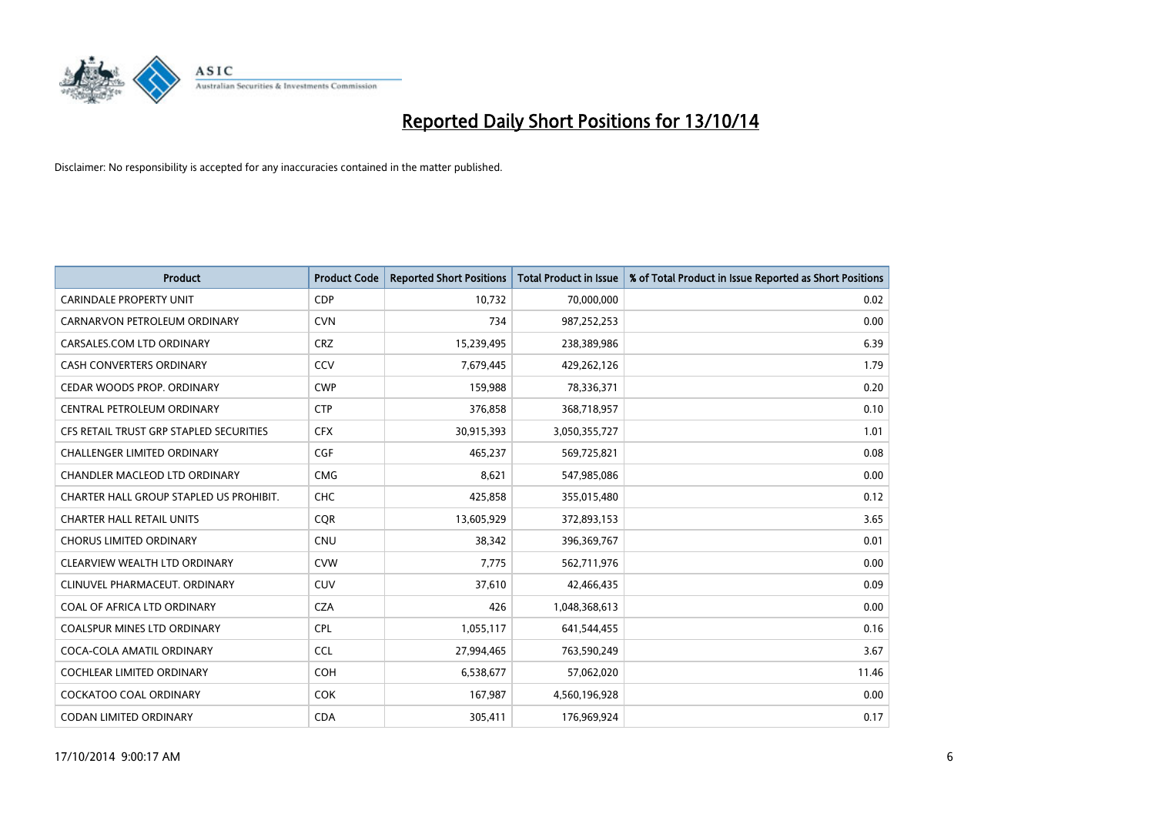

| <b>Product</b>                          | <b>Product Code</b> | <b>Reported Short Positions</b> | <b>Total Product in Issue</b> | % of Total Product in Issue Reported as Short Positions |
|-----------------------------------------|---------------------|---------------------------------|-------------------------------|---------------------------------------------------------|
| <b>CARINDALE PROPERTY UNIT</b>          | <b>CDP</b>          | 10,732                          | 70,000,000                    | 0.02                                                    |
| CARNARVON PETROLEUM ORDINARY            | <b>CVN</b>          | 734                             | 987,252,253                   | 0.00                                                    |
| CARSALES.COM LTD ORDINARY               | <b>CRZ</b>          | 15,239,495                      | 238,389,986                   | 6.39                                                    |
| CASH CONVERTERS ORDINARY                | CCV                 | 7,679,445                       | 429,262,126                   | 1.79                                                    |
| CEDAR WOODS PROP. ORDINARY              | <b>CWP</b>          | 159,988                         | 78,336,371                    | 0.20                                                    |
| CENTRAL PETROLEUM ORDINARY              | <b>CTP</b>          | 376,858                         | 368,718,957                   | 0.10                                                    |
| CFS RETAIL TRUST GRP STAPLED SECURITIES | <b>CFX</b>          | 30,915,393                      | 3,050,355,727                 | 1.01                                                    |
| CHALLENGER LIMITED ORDINARY             | <b>CGF</b>          | 465,237                         | 569,725,821                   | 0.08                                                    |
| CHANDLER MACLEOD LTD ORDINARY           | <b>CMG</b>          | 8,621                           | 547,985,086                   | 0.00                                                    |
| CHARTER HALL GROUP STAPLED US PROHIBIT. | <b>CHC</b>          | 425,858                         | 355,015,480                   | 0.12                                                    |
| <b>CHARTER HALL RETAIL UNITS</b>        | <b>CQR</b>          | 13,605,929                      | 372,893,153                   | 3.65                                                    |
| <b>CHORUS LIMITED ORDINARY</b>          | <b>CNU</b>          | 38,342                          | 396,369,767                   | 0.01                                                    |
| CLEARVIEW WEALTH LTD ORDINARY           | <b>CVW</b>          | 7,775                           | 562,711,976                   | 0.00                                                    |
| CLINUVEL PHARMACEUT. ORDINARY           | <b>CUV</b>          | 37,610                          | 42,466,435                    | 0.09                                                    |
| COAL OF AFRICA LTD ORDINARY             | <b>CZA</b>          | 426                             | 1,048,368,613                 | 0.00                                                    |
| <b>COALSPUR MINES LTD ORDINARY</b>      | <b>CPL</b>          | 1,055,117                       | 641,544,455                   | 0.16                                                    |
| COCA-COLA AMATIL ORDINARY               | <b>CCL</b>          | 27,994,465                      | 763,590,249                   | 3.67                                                    |
| COCHLEAR LIMITED ORDINARY               | <b>COH</b>          | 6,538,677                       | 57,062,020                    | 11.46                                                   |
| <b>COCKATOO COAL ORDINARY</b>           | <b>COK</b>          | 167,987                         | 4,560,196,928                 | 0.00                                                    |
| CODAN LIMITED ORDINARY                  | <b>CDA</b>          | 305,411                         | 176,969,924                   | 0.17                                                    |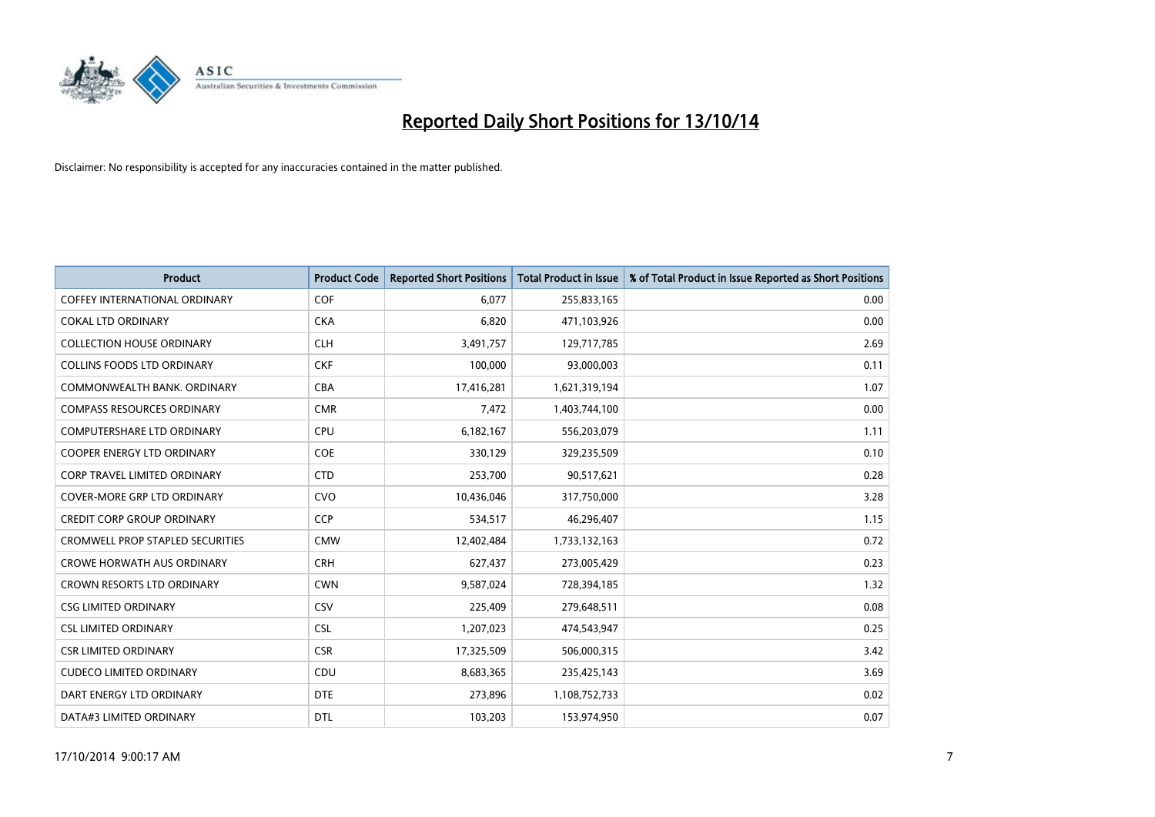

| Product                                 | <b>Product Code</b> | <b>Reported Short Positions</b> | <b>Total Product in Issue</b> | % of Total Product in Issue Reported as Short Positions |
|-----------------------------------------|---------------------|---------------------------------|-------------------------------|---------------------------------------------------------|
| <b>COFFEY INTERNATIONAL ORDINARY</b>    | <b>COF</b>          | 6,077                           | 255,833,165                   | 0.00                                                    |
| COKAL LTD ORDINARY                      | <b>CKA</b>          | 6,820                           | 471,103,926                   | 0.00                                                    |
| <b>COLLECTION HOUSE ORDINARY</b>        | <b>CLH</b>          | 3,491,757                       | 129,717,785                   | 2.69                                                    |
| <b>COLLINS FOODS LTD ORDINARY</b>       | <b>CKF</b>          | 100,000                         | 93,000,003                    | 0.11                                                    |
| COMMONWEALTH BANK, ORDINARY             | <b>CBA</b>          | 17,416,281                      | 1,621,319,194                 | 1.07                                                    |
| <b>COMPASS RESOURCES ORDINARY</b>       | <b>CMR</b>          | 7,472                           | 1,403,744,100                 | 0.00                                                    |
| <b>COMPUTERSHARE LTD ORDINARY</b>       | <b>CPU</b>          | 6,182,167                       | 556,203,079                   | 1.11                                                    |
| <b>COOPER ENERGY LTD ORDINARY</b>       | <b>COE</b>          | 330,129                         | 329,235,509                   | 0.10                                                    |
| <b>CORP TRAVEL LIMITED ORDINARY</b>     | <b>CTD</b>          | 253,700                         | 90,517,621                    | 0.28                                                    |
| COVER-MORE GRP LTD ORDINARY             | <b>CVO</b>          | 10,436,046                      | 317,750,000                   | 3.28                                                    |
| <b>CREDIT CORP GROUP ORDINARY</b>       | <b>CCP</b>          | 534,517                         | 46,296,407                    | 1.15                                                    |
| <b>CROMWELL PROP STAPLED SECURITIES</b> | <b>CMW</b>          | 12,402,484                      | 1,733,132,163                 | 0.72                                                    |
| <b>CROWE HORWATH AUS ORDINARY</b>       | <b>CRH</b>          | 627,437                         | 273,005,429                   | 0.23                                                    |
| <b>CROWN RESORTS LTD ORDINARY</b>       | <b>CWN</b>          | 9,587,024                       | 728,394,185                   | 1.32                                                    |
| <b>CSG LIMITED ORDINARY</b>             | CSV                 | 225,409                         | 279,648,511                   | 0.08                                                    |
| <b>CSL LIMITED ORDINARY</b>             | <b>CSL</b>          | 1,207,023                       | 474,543,947                   | 0.25                                                    |
| <b>CSR LIMITED ORDINARY</b>             | <b>CSR</b>          | 17,325,509                      | 506,000,315                   | 3.42                                                    |
| <b>CUDECO LIMITED ORDINARY</b>          | CDU                 | 8,683,365                       | 235,425,143                   | 3.69                                                    |
| DART ENERGY LTD ORDINARY                | <b>DTE</b>          | 273,896                         | 1,108,752,733                 | 0.02                                                    |
| DATA#3 LIMITED ORDINARY                 | DTL                 | 103,203                         | 153,974,950                   | 0.07                                                    |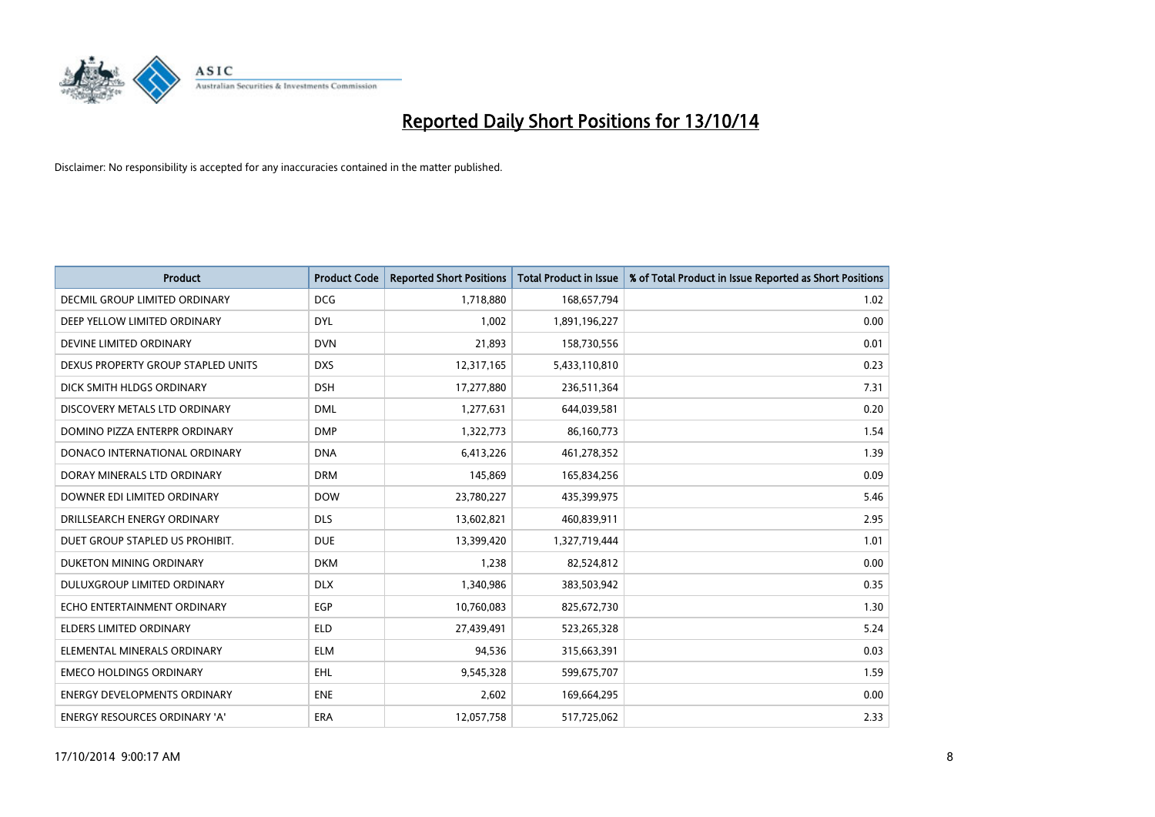

| <b>Product</b>                       | <b>Product Code</b> | <b>Reported Short Positions</b> | <b>Total Product in Issue</b> | % of Total Product in Issue Reported as Short Positions |
|--------------------------------------|---------------------|---------------------------------|-------------------------------|---------------------------------------------------------|
| <b>DECMIL GROUP LIMITED ORDINARY</b> | <b>DCG</b>          | 1,718,880                       | 168,657,794                   | 1.02                                                    |
| DEEP YELLOW LIMITED ORDINARY         | <b>DYL</b>          | 1,002                           | 1,891,196,227                 | 0.00                                                    |
| DEVINE LIMITED ORDINARY              | <b>DVN</b>          | 21,893                          | 158,730,556                   | 0.01                                                    |
| DEXUS PROPERTY GROUP STAPLED UNITS   | <b>DXS</b>          | 12,317,165                      | 5,433,110,810                 | 0.23                                                    |
| DICK SMITH HLDGS ORDINARY            | <b>DSH</b>          | 17,277,880                      | 236,511,364                   | 7.31                                                    |
| DISCOVERY METALS LTD ORDINARY        | <b>DML</b>          | 1,277,631                       | 644,039,581                   | 0.20                                                    |
| DOMINO PIZZA ENTERPR ORDINARY        | <b>DMP</b>          | 1,322,773                       | 86,160,773                    | 1.54                                                    |
| DONACO INTERNATIONAL ORDINARY        | <b>DNA</b>          | 6,413,226                       | 461,278,352                   | 1.39                                                    |
| DORAY MINERALS LTD ORDINARY          | <b>DRM</b>          | 145,869                         | 165,834,256                   | 0.09                                                    |
| DOWNER EDI LIMITED ORDINARY          | <b>DOW</b>          | 23,780,227                      | 435,399,975                   | 5.46                                                    |
| DRILLSEARCH ENERGY ORDINARY          | <b>DLS</b>          | 13,602,821                      | 460,839,911                   | 2.95                                                    |
| DUET GROUP STAPLED US PROHIBIT.      | <b>DUE</b>          | 13,399,420                      | 1,327,719,444                 | 1.01                                                    |
| DUKETON MINING ORDINARY              | <b>DKM</b>          | 1,238                           | 82,524,812                    | 0.00                                                    |
| DULUXGROUP LIMITED ORDINARY          | <b>DLX</b>          | 1,340,986                       | 383,503,942                   | 0.35                                                    |
| ECHO ENTERTAINMENT ORDINARY          | EGP                 | 10,760,083                      | 825,672,730                   | 1.30                                                    |
| ELDERS LIMITED ORDINARY              | <b>ELD</b>          | 27,439,491                      | 523,265,328                   | 5.24                                                    |
| ELEMENTAL MINERALS ORDINARY          | <b>ELM</b>          | 94,536                          | 315,663,391                   | 0.03                                                    |
| <b>EMECO HOLDINGS ORDINARY</b>       | <b>EHL</b>          | 9,545,328                       | 599,675,707                   | 1.59                                                    |
| <b>ENERGY DEVELOPMENTS ORDINARY</b>  | <b>ENE</b>          | 2,602                           | 169,664,295                   | 0.00                                                    |
| ENERGY RESOURCES ORDINARY 'A'        | ERA                 | 12,057,758                      | 517,725,062                   | 2.33                                                    |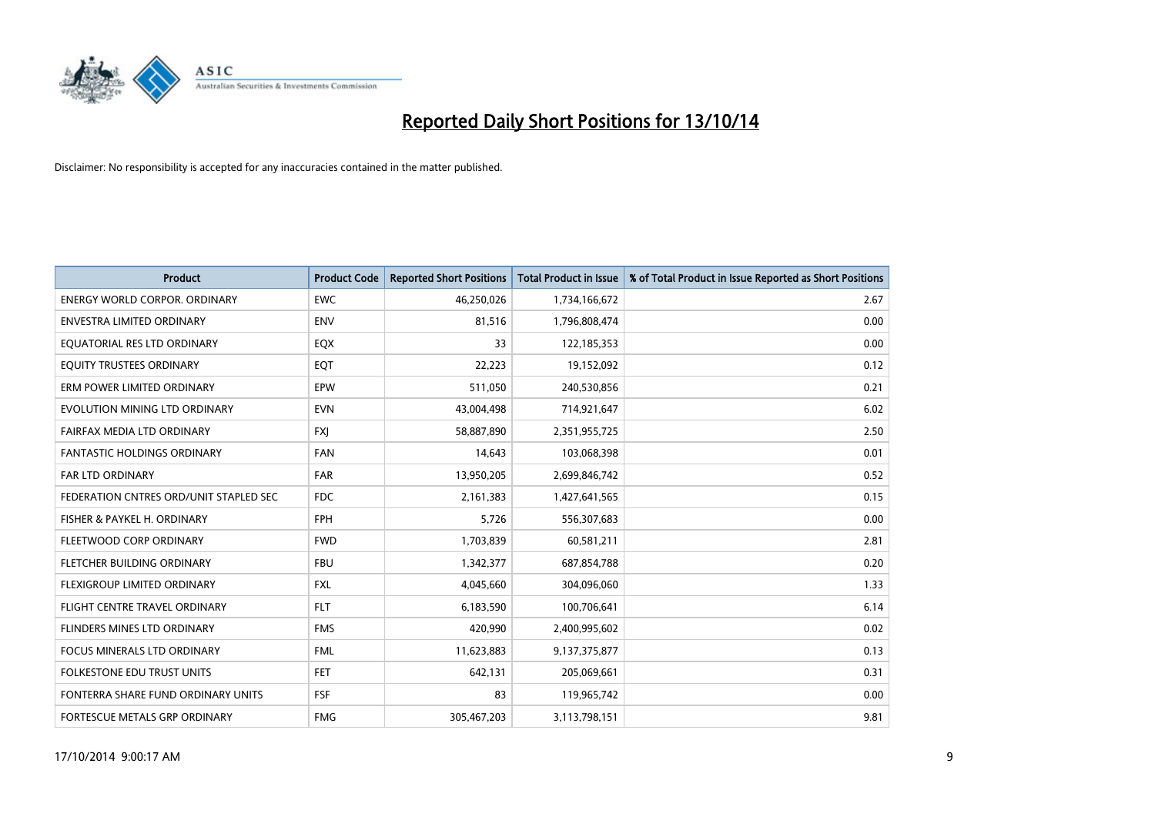

| <b>Product</b>                         | <b>Product Code</b> | <b>Reported Short Positions</b> | <b>Total Product in Issue</b> | % of Total Product in Issue Reported as Short Positions |
|----------------------------------------|---------------------|---------------------------------|-------------------------------|---------------------------------------------------------|
| <b>ENERGY WORLD CORPOR, ORDINARY</b>   | <b>EWC</b>          | 46,250,026                      | 1,734,166,672                 | 2.67                                                    |
| ENVESTRA LIMITED ORDINARY              | <b>ENV</b>          | 81,516                          | 1,796,808,474                 | 0.00                                                    |
| EQUATORIAL RES LTD ORDINARY            | EQX                 | 33                              | 122,185,353                   | 0.00                                                    |
| EQUITY TRUSTEES ORDINARY               | EQT                 | 22,223                          | 19,152,092                    | 0.12                                                    |
| ERM POWER LIMITED ORDINARY             | <b>EPW</b>          | 511,050                         | 240,530,856                   | 0.21                                                    |
| EVOLUTION MINING LTD ORDINARY          | <b>EVN</b>          | 43,004,498                      | 714,921,647                   | 6.02                                                    |
| FAIRFAX MEDIA LTD ORDINARY             | <b>FXI</b>          | 58,887,890                      | 2,351,955,725                 | 2.50                                                    |
| <b>FANTASTIC HOLDINGS ORDINARY</b>     | <b>FAN</b>          | 14,643                          | 103,068,398                   | 0.01                                                    |
| FAR LTD ORDINARY                       | <b>FAR</b>          | 13,950,205                      | 2,699,846,742                 | 0.52                                                    |
| FEDERATION CNTRES ORD/UNIT STAPLED SEC | <b>FDC</b>          | 2,161,383                       | 1,427,641,565                 | 0.15                                                    |
| FISHER & PAYKEL H. ORDINARY            | <b>FPH</b>          | 5,726                           | 556,307,683                   | 0.00                                                    |
| FLEETWOOD CORP ORDINARY                | <b>FWD</b>          | 1,703,839                       | 60,581,211                    | 2.81                                                    |
| FLETCHER BUILDING ORDINARY             | <b>FBU</b>          | 1,342,377                       | 687,854,788                   | 0.20                                                    |
| <b>FLEXIGROUP LIMITED ORDINARY</b>     | <b>FXL</b>          | 4,045,660                       | 304,096,060                   | 1.33                                                    |
| FLIGHT CENTRE TRAVEL ORDINARY          | <b>FLT</b>          | 6,183,590                       | 100,706,641                   | 6.14                                                    |
| FLINDERS MINES LTD ORDINARY            | <b>FMS</b>          | 420,990                         | 2,400,995,602                 | 0.02                                                    |
| <b>FOCUS MINERALS LTD ORDINARY</b>     | <b>FML</b>          | 11,623,883                      | 9,137,375,877                 | 0.13                                                    |
| <b>FOLKESTONE EDU TRUST UNITS</b>      | FET.                | 642,131                         | 205,069,661                   | 0.31                                                    |
| FONTERRA SHARE FUND ORDINARY UNITS     | <b>FSF</b>          | 83                              | 119,965,742                   | 0.00                                                    |
| FORTESCUE METALS GRP ORDINARY          | <b>FMG</b>          | 305,467,203                     | 3,113,798,151                 | 9.81                                                    |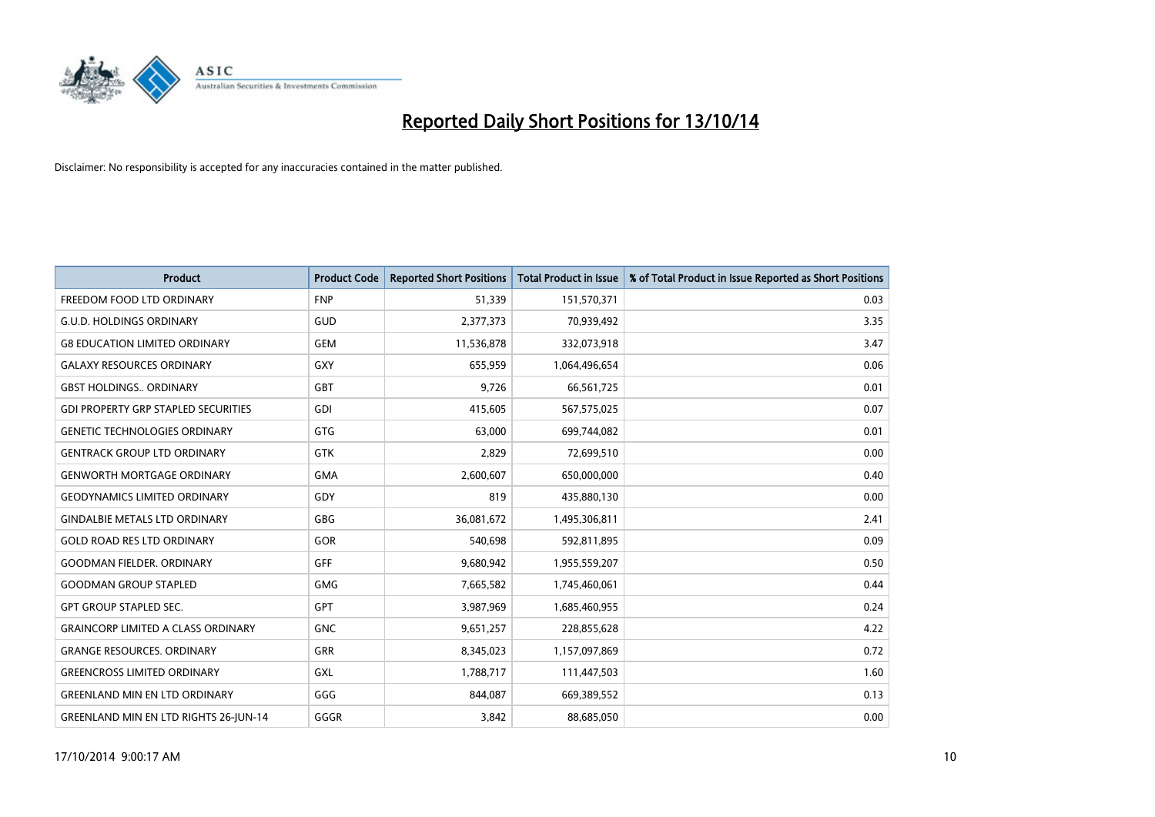

| <b>Product</b>                               | <b>Product Code</b> | <b>Reported Short Positions</b> | <b>Total Product in Issue</b> | % of Total Product in Issue Reported as Short Positions |
|----------------------------------------------|---------------------|---------------------------------|-------------------------------|---------------------------------------------------------|
| FREEDOM FOOD LTD ORDINARY                    | <b>FNP</b>          | 51,339                          | 151,570,371                   | 0.03                                                    |
| <b>G.U.D. HOLDINGS ORDINARY</b>              | GUD                 | 2,377,373                       | 70,939,492                    | 3.35                                                    |
| <b>G8 EDUCATION LIMITED ORDINARY</b>         | <b>GEM</b>          | 11,536,878                      | 332,073,918                   | 3.47                                                    |
| <b>GALAXY RESOURCES ORDINARY</b>             | GXY                 | 655,959                         | 1,064,496,654                 | 0.06                                                    |
| <b>GBST HOLDINGS., ORDINARY</b>              | GBT                 | 9,726                           | 66,561,725                    | 0.01                                                    |
| <b>GDI PROPERTY GRP STAPLED SECURITIES</b>   | <b>GDI</b>          | 415,605                         | 567,575,025                   | 0.07                                                    |
| <b>GENETIC TECHNOLOGIES ORDINARY</b>         | GTG                 | 63,000                          | 699,744,082                   | 0.01                                                    |
| <b>GENTRACK GROUP LTD ORDINARY</b>           | GTK                 | 2,829                           | 72,699,510                    | 0.00                                                    |
| <b>GENWORTH MORTGAGE ORDINARY</b>            | <b>GMA</b>          | 2,600,607                       | 650,000,000                   | 0.40                                                    |
| <b>GEODYNAMICS LIMITED ORDINARY</b>          | GDY                 | 819                             | 435,880,130                   | 0.00                                                    |
| <b>GINDALBIE METALS LTD ORDINARY</b>         | GBG                 | 36,081,672                      | 1,495,306,811                 | 2.41                                                    |
| <b>GOLD ROAD RES LTD ORDINARY</b>            | GOR                 | 540,698                         | 592,811,895                   | 0.09                                                    |
| <b>GOODMAN FIELDER. ORDINARY</b>             | <b>GFF</b>          | 9,680,942                       | 1,955,559,207                 | 0.50                                                    |
| <b>GOODMAN GROUP STAPLED</b>                 | GMG                 | 7,665,582                       | 1,745,460,061                 | 0.44                                                    |
| <b>GPT GROUP STAPLED SEC.</b>                | <b>GPT</b>          | 3,987,969                       | 1,685,460,955                 | 0.24                                                    |
| <b>GRAINCORP LIMITED A CLASS ORDINARY</b>    | <b>GNC</b>          | 9,651,257                       | 228,855,628                   | 4.22                                                    |
| <b>GRANGE RESOURCES. ORDINARY</b>            | GRR                 | 8,345,023                       | 1,157,097,869                 | 0.72                                                    |
| <b>GREENCROSS LIMITED ORDINARY</b>           | GXL                 | 1,788,717                       | 111,447,503                   | 1.60                                                    |
| <b>GREENLAND MIN EN LTD ORDINARY</b>         | GGG                 | 844,087                         | 669,389,552                   | 0.13                                                    |
| <b>GREENLAND MIN EN LTD RIGHTS 26-JUN-14</b> | GGGR                | 3,842                           | 88,685,050                    | 0.00                                                    |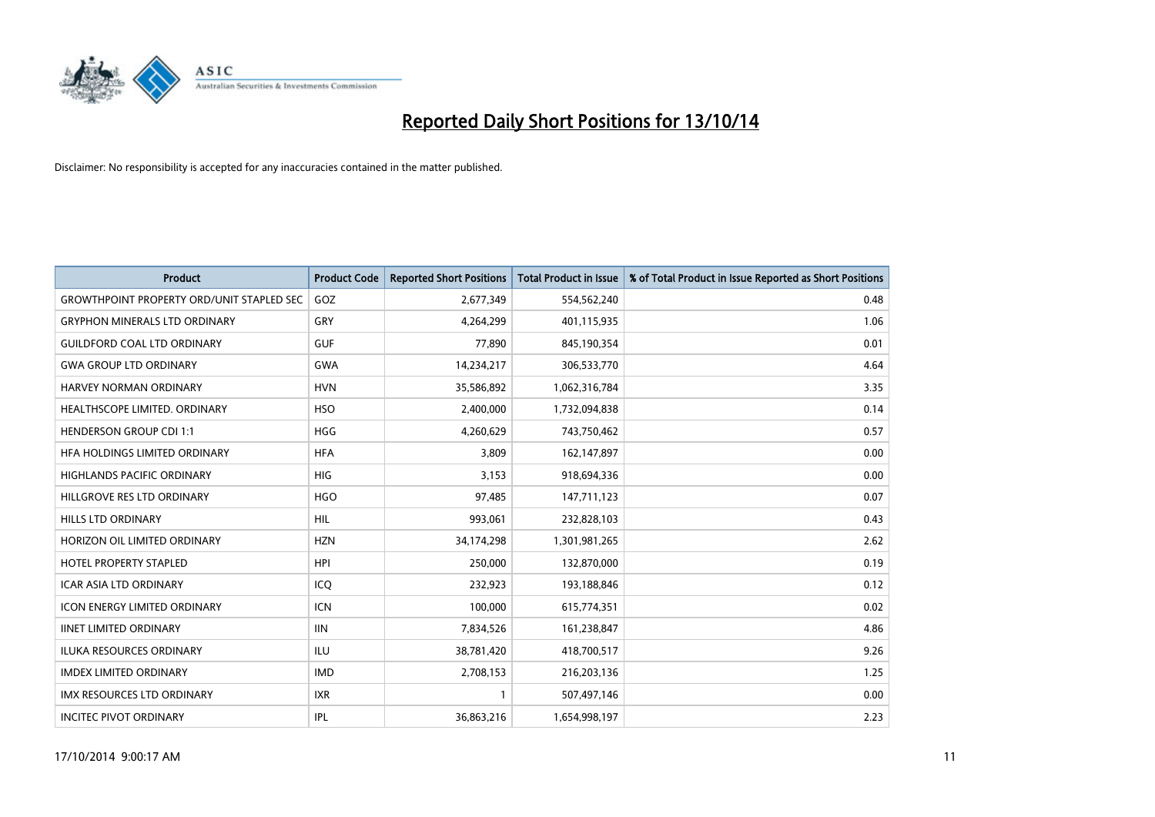

| <b>Product</b>                                   | <b>Product Code</b> | <b>Reported Short Positions</b> | <b>Total Product in Issue</b> | % of Total Product in Issue Reported as Short Positions |
|--------------------------------------------------|---------------------|---------------------------------|-------------------------------|---------------------------------------------------------|
| <b>GROWTHPOINT PROPERTY ORD/UNIT STAPLED SEC</b> | GOZ                 | 2,677,349                       | 554,562,240                   | 0.48                                                    |
| <b>GRYPHON MINERALS LTD ORDINARY</b>             | <b>GRY</b>          | 4,264,299                       | 401,115,935                   | 1.06                                                    |
| <b>GUILDFORD COAL LTD ORDINARY</b>               | <b>GUF</b>          | 77,890                          | 845,190,354                   | 0.01                                                    |
| <b>GWA GROUP LTD ORDINARY</b>                    | <b>GWA</b>          | 14,234,217                      | 306,533,770                   | 4.64                                                    |
| HARVEY NORMAN ORDINARY                           | <b>HVN</b>          | 35,586,892                      | 1,062,316,784                 | 3.35                                                    |
| HEALTHSCOPE LIMITED. ORDINARY                    | <b>HSO</b>          | 2,400,000                       | 1,732,094,838                 | 0.14                                                    |
| HENDERSON GROUP CDI 1:1                          | <b>HGG</b>          | 4,260,629                       | 743,750,462                   | 0.57                                                    |
| HFA HOLDINGS LIMITED ORDINARY                    | <b>HFA</b>          | 3,809                           | 162,147,897                   | 0.00                                                    |
| <b>HIGHLANDS PACIFIC ORDINARY</b>                | <b>HIG</b>          | 3,153                           | 918,694,336                   | 0.00                                                    |
| HILLGROVE RES LTD ORDINARY                       | <b>HGO</b>          | 97,485                          | 147,711,123                   | 0.07                                                    |
| <b>HILLS LTD ORDINARY</b>                        | HIL.                | 993,061                         | 232,828,103                   | 0.43                                                    |
| HORIZON OIL LIMITED ORDINARY                     | <b>HZN</b>          | 34,174,298                      | 1,301,981,265                 | 2.62                                                    |
| <b>HOTEL PROPERTY STAPLED</b>                    | <b>HPI</b>          | 250,000                         | 132,870,000                   | 0.19                                                    |
| <b>ICAR ASIA LTD ORDINARY</b>                    | ICQ                 | 232,923                         | 193,188,846                   | 0.12                                                    |
| <b>ICON ENERGY LIMITED ORDINARY</b>              | <b>ICN</b>          | 100,000                         | 615,774,351                   | 0.02                                                    |
| <b>IINET LIMITED ORDINARY</b>                    | <b>IIN</b>          | 7,834,526                       | 161,238,847                   | 4.86                                                    |
| ILUKA RESOURCES ORDINARY                         | ILU                 | 38,781,420                      | 418,700,517                   | 9.26                                                    |
| <b>IMDEX LIMITED ORDINARY</b>                    | <b>IMD</b>          | 2,708,153                       | 216,203,136                   | 1.25                                                    |
| <b>IMX RESOURCES LTD ORDINARY</b>                | <b>IXR</b>          | $\mathbf{1}$                    | 507,497,146                   | 0.00                                                    |
| <b>INCITEC PIVOT ORDINARY</b>                    | IPL                 | 36,863,216                      | 1,654,998,197                 | 2.23                                                    |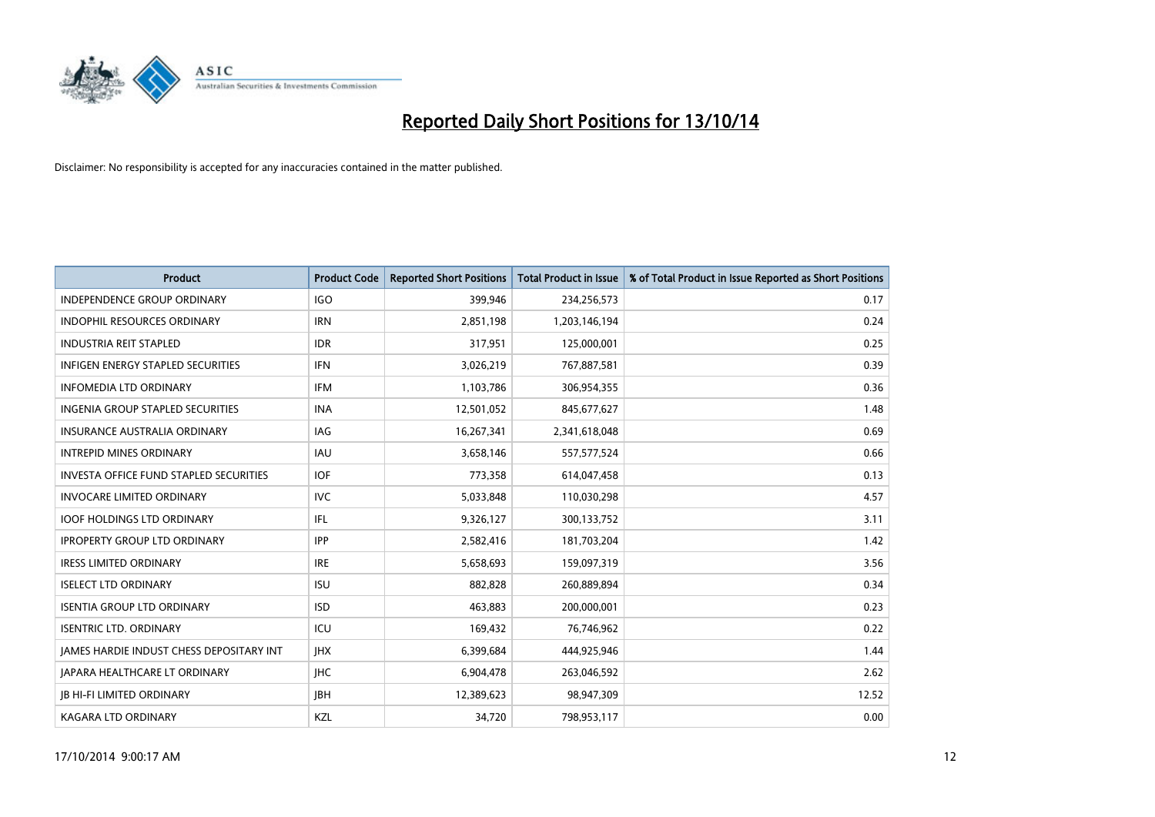

| <b>Product</b>                           | <b>Product Code</b> | <b>Reported Short Positions</b> | <b>Total Product in Issue</b> | % of Total Product in Issue Reported as Short Positions |
|------------------------------------------|---------------------|---------------------------------|-------------------------------|---------------------------------------------------------|
| <b>INDEPENDENCE GROUP ORDINARY</b>       | <b>IGO</b>          | 399,946                         | 234,256,573                   | 0.17                                                    |
| INDOPHIL RESOURCES ORDINARY              | <b>IRN</b>          | 2,851,198                       | 1,203,146,194                 | 0.24                                                    |
| <b>INDUSTRIA REIT STAPLED</b>            | <b>IDR</b>          | 317,951                         | 125,000,001                   | 0.25                                                    |
| INFIGEN ENERGY STAPLED SECURITIES        | <b>IFN</b>          | 3,026,219                       | 767,887,581                   | 0.39                                                    |
| <b>INFOMEDIA LTD ORDINARY</b>            | <b>IFM</b>          | 1,103,786                       | 306,954,355                   | 0.36                                                    |
| INGENIA GROUP STAPLED SECURITIES         | <b>INA</b>          | 12,501,052                      | 845,677,627                   | 1.48                                                    |
| <b>INSURANCE AUSTRALIA ORDINARY</b>      | IAG                 | 16,267,341                      | 2,341,618,048                 | 0.69                                                    |
| <b>INTREPID MINES ORDINARY</b>           | <b>IAU</b>          | 3,658,146                       | 557,577,524                   | 0.66                                                    |
| INVESTA OFFICE FUND STAPLED SECURITIES   | <b>IOF</b>          | 773,358                         | 614,047,458                   | 0.13                                                    |
| <b>INVOCARE LIMITED ORDINARY</b>         | <b>IVC</b>          | 5,033,848                       | 110,030,298                   | 4.57                                                    |
| <b>IOOF HOLDINGS LTD ORDINARY</b>        | IFL                 | 9,326,127                       | 300,133,752                   | 3.11                                                    |
| <b>IPROPERTY GROUP LTD ORDINARY</b>      | <b>IPP</b>          | 2,582,416                       | 181,703,204                   | 1.42                                                    |
| <b>IRESS LIMITED ORDINARY</b>            | <b>IRE</b>          | 5,658,693                       | 159,097,319                   | 3.56                                                    |
| <b>ISELECT LTD ORDINARY</b>              | <b>ISU</b>          | 882,828                         | 260,889,894                   | 0.34                                                    |
| <b>ISENTIA GROUP LTD ORDINARY</b>        | <b>ISD</b>          | 463,883                         | 200,000,001                   | 0.23                                                    |
| <b>ISENTRIC LTD. ORDINARY</b>            | ICU                 | 169,432                         | 76,746,962                    | 0.22                                                    |
| JAMES HARDIE INDUST CHESS DEPOSITARY INT | <b>IHX</b>          | 6,399,684                       | 444,925,946                   | 1.44                                                    |
| JAPARA HEALTHCARE LT ORDINARY            | <b>IHC</b>          | 6,904,478                       | 263,046,592                   | 2.62                                                    |
| <b>IB HI-FI LIMITED ORDINARY</b>         | <b>JBH</b>          | 12,389,623                      | 98,947,309                    | 12.52                                                   |
| <b>KAGARA LTD ORDINARY</b>               | KZL                 | 34,720                          | 798,953,117                   | 0.00                                                    |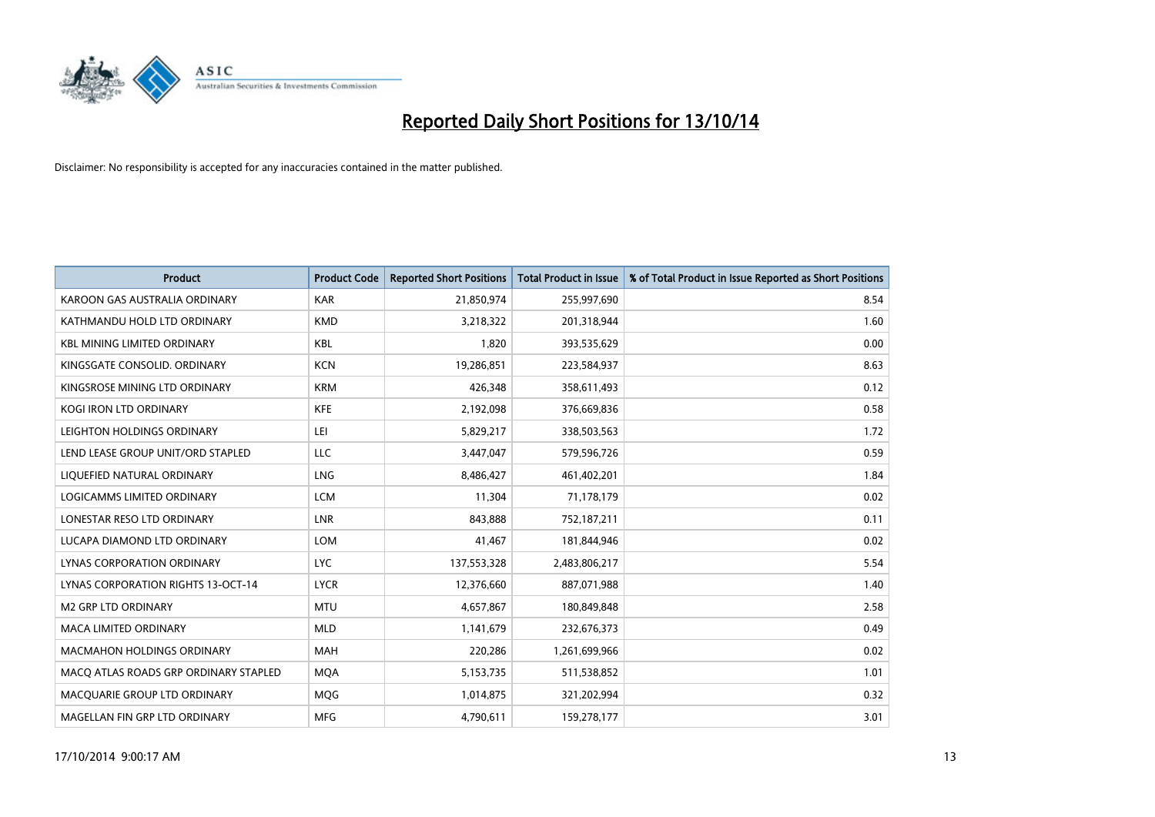

| <b>Product</b>                            | <b>Product Code</b> | <b>Reported Short Positions</b> | <b>Total Product in Issue</b> | % of Total Product in Issue Reported as Short Positions |
|-------------------------------------------|---------------------|---------------------------------|-------------------------------|---------------------------------------------------------|
| KAROON GAS AUSTRALIA ORDINARY             | <b>KAR</b>          | 21,850,974                      | 255,997,690                   | 8.54                                                    |
| KATHMANDU HOLD LTD ORDINARY               | <b>KMD</b>          | 3,218,322                       | 201,318,944                   | 1.60                                                    |
| <b>KBL MINING LIMITED ORDINARY</b>        | <b>KBL</b>          | 1,820                           | 393,535,629                   | 0.00                                                    |
| KINGSGATE CONSOLID. ORDINARY              | <b>KCN</b>          | 19,286,851                      | 223,584,937                   | 8.63                                                    |
| KINGSROSE MINING LTD ORDINARY             | <b>KRM</b>          | 426,348                         | 358,611,493                   | 0.12                                                    |
| <b>KOGI IRON LTD ORDINARY</b>             | <b>KFE</b>          | 2,192,098                       | 376,669,836                   | 0.58                                                    |
| LEIGHTON HOLDINGS ORDINARY                | LEI                 | 5,829,217                       | 338,503,563                   | 1.72                                                    |
| LEND LEASE GROUP UNIT/ORD STAPLED         | <b>LLC</b>          | 3,447,047                       | 579,596,726                   | 0.59                                                    |
| LIQUEFIED NATURAL ORDINARY                | <b>LNG</b>          | 8,486,427                       | 461,402,201                   | 1.84                                                    |
| <b>LOGICAMMS LIMITED ORDINARY</b>         | <b>LCM</b>          | 11,304                          | 71,178,179                    | 0.02                                                    |
| LONESTAR RESO LTD ORDINARY                | <b>LNR</b>          | 843,888                         | 752,187,211                   | 0.11                                                    |
| LUCAPA DIAMOND LTD ORDINARY               | LOM                 | 41,467                          | 181,844,946                   | 0.02                                                    |
| LYNAS CORPORATION ORDINARY                | <b>LYC</b>          | 137,553,328                     | 2,483,806,217                 | 5.54                                                    |
| <b>LYNAS CORPORATION RIGHTS 13-OCT-14</b> | <b>LYCR</b>         | 12,376,660                      | 887,071,988                   | 1.40                                                    |
| <b>M2 GRP LTD ORDINARY</b>                | <b>MTU</b>          | 4,657,867                       | 180,849,848                   | 2.58                                                    |
| <b>MACA LIMITED ORDINARY</b>              | <b>MLD</b>          | 1,141,679                       | 232,676,373                   | 0.49                                                    |
| <b>MACMAHON HOLDINGS ORDINARY</b>         | <b>MAH</b>          | 220,286                         | 1,261,699,966                 | 0.02                                                    |
| MACO ATLAS ROADS GRP ORDINARY STAPLED     | <b>MOA</b>          | 5,153,735                       | 511,538,852                   | 1.01                                                    |
| MACOUARIE GROUP LTD ORDINARY              | <b>MOG</b>          | 1,014,875                       | 321,202,994                   | 0.32                                                    |
| MAGELLAN FIN GRP LTD ORDINARY             | <b>MFG</b>          | 4,790,611                       | 159,278,177                   | 3.01                                                    |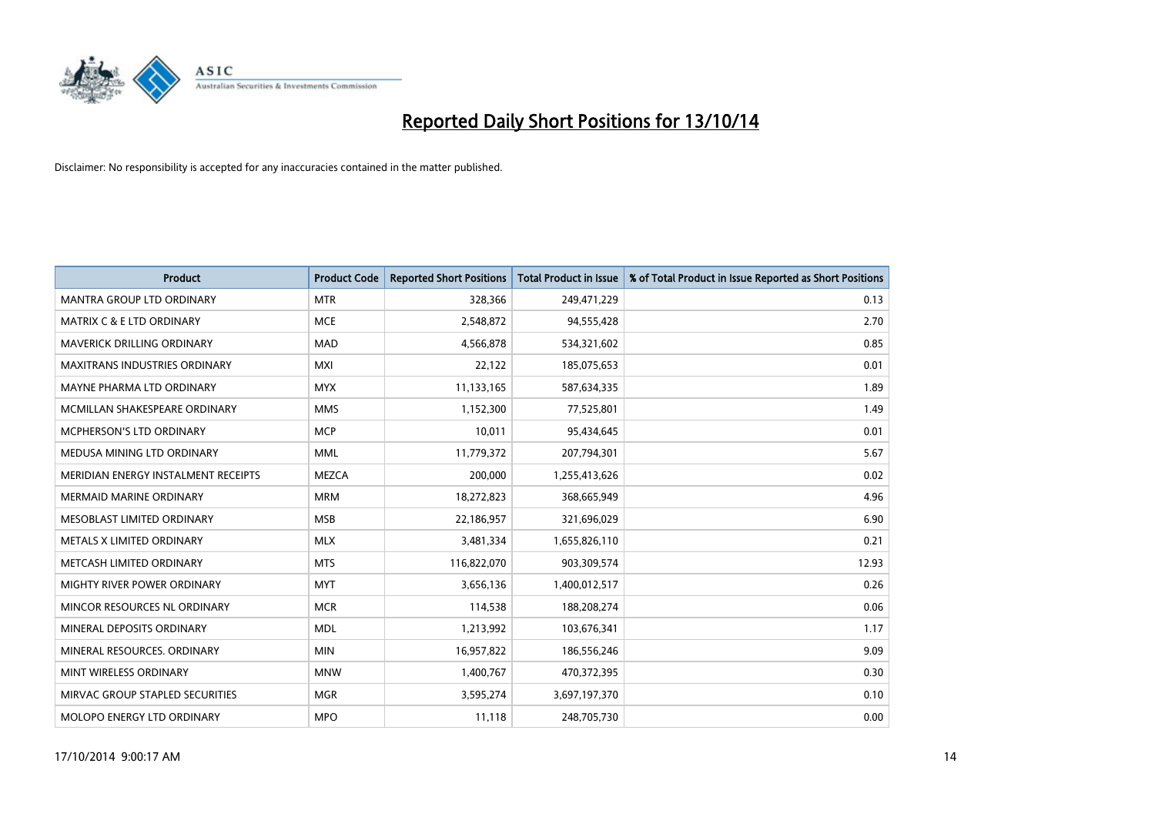

| <b>Product</b>                       | <b>Product Code</b> | <b>Reported Short Positions</b> | <b>Total Product in Issue</b> | % of Total Product in Issue Reported as Short Positions |
|--------------------------------------|---------------------|---------------------------------|-------------------------------|---------------------------------------------------------|
| <b>MANTRA GROUP LTD ORDINARY</b>     | <b>MTR</b>          | 328,366                         | 249,471,229                   | 0.13                                                    |
| <b>MATRIX C &amp; E LTD ORDINARY</b> | <b>MCE</b>          | 2,548,872                       | 94,555,428                    | 2.70                                                    |
| MAVERICK DRILLING ORDINARY           | <b>MAD</b>          | 4,566,878                       | 534,321,602                   | 0.85                                                    |
| MAXITRANS INDUSTRIES ORDINARY        | <b>MXI</b>          | 22,122                          | 185,075,653                   | 0.01                                                    |
| MAYNE PHARMA LTD ORDINARY            | <b>MYX</b>          | 11,133,165                      | 587,634,335                   | 1.89                                                    |
| MCMILLAN SHAKESPEARE ORDINARY        | <b>MMS</b>          | 1,152,300                       | 77,525,801                    | 1.49                                                    |
| <b>MCPHERSON'S LTD ORDINARY</b>      | <b>MCP</b>          | 10,011                          | 95,434,645                    | 0.01                                                    |
| MEDUSA MINING LTD ORDINARY           | <b>MML</b>          | 11,779,372                      | 207,794,301                   | 5.67                                                    |
| MERIDIAN ENERGY INSTALMENT RECEIPTS  | <b>MEZCA</b>        | 200,000                         | 1,255,413,626                 | 0.02                                                    |
| <b>MERMAID MARINE ORDINARY</b>       | <b>MRM</b>          | 18,272,823                      | 368,665,949                   | 4.96                                                    |
| MESOBLAST LIMITED ORDINARY           | <b>MSB</b>          | 22,186,957                      | 321,696,029                   | 6.90                                                    |
| METALS X LIMITED ORDINARY            | <b>MLX</b>          | 3,481,334                       | 1,655,826,110                 | 0.21                                                    |
| METCASH LIMITED ORDINARY             | <b>MTS</b>          | 116,822,070                     | 903,309,574                   | 12.93                                                   |
| MIGHTY RIVER POWER ORDINARY          | <b>MYT</b>          | 3,656,136                       | 1,400,012,517                 | 0.26                                                    |
| MINCOR RESOURCES NL ORDINARY         | <b>MCR</b>          | 114,538                         | 188,208,274                   | 0.06                                                    |
| MINERAL DEPOSITS ORDINARY            | <b>MDL</b>          | 1,213,992                       | 103,676,341                   | 1.17                                                    |
| MINERAL RESOURCES. ORDINARY          | <b>MIN</b>          | 16,957,822                      | 186,556,246                   | 9.09                                                    |
| MINT WIRELESS ORDINARY               | <b>MNW</b>          | 1,400,767                       | 470,372,395                   | 0.30                                                    |
| MIRVAC GROUP STAPLED SECURITIES      | <b>MGR</b>          | 3,595,274                       | 3,697,197,370                 | 0.10                                                    |
| MOLOPO ENERGY LTD ORDINARY           | <b>MPO</b>          | 11,118                          | 248,705,730                   | 0.00                                                    |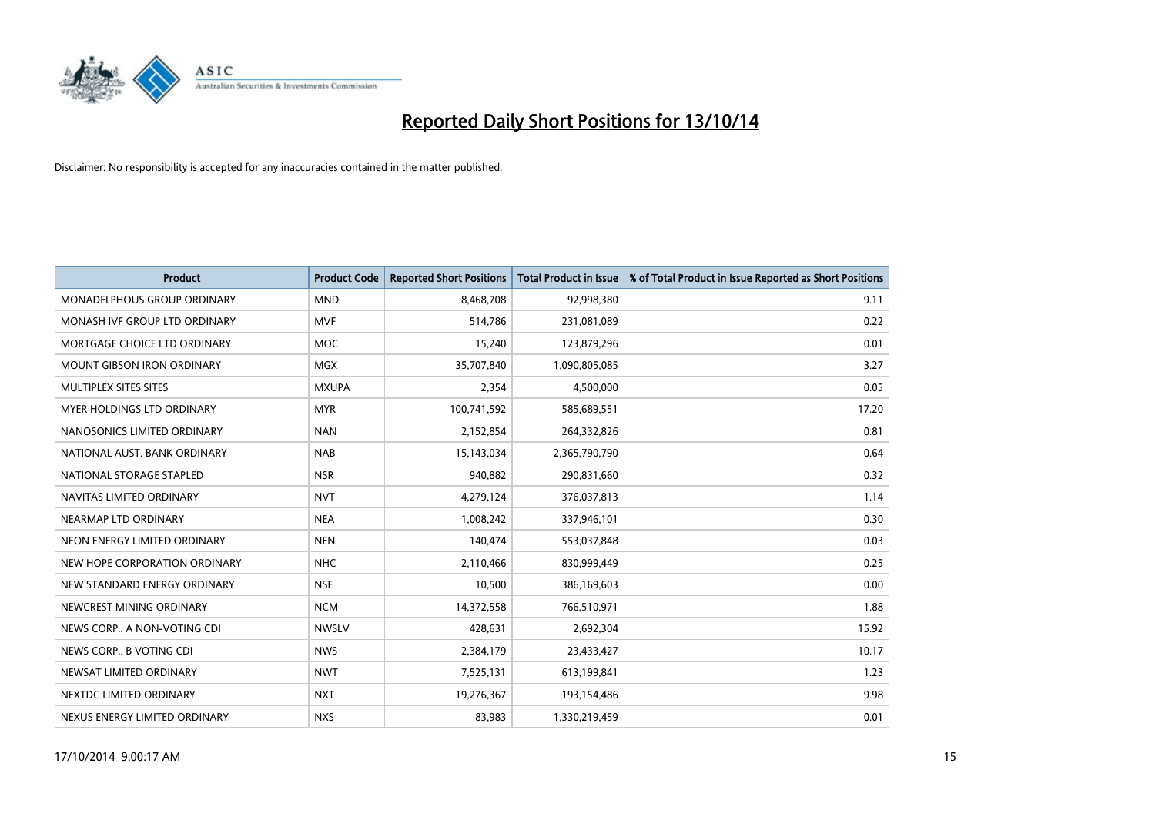

| <b>Product</b>                    | <b>Product Code</b> | <b>Reported Short Positions</b> | <b>Total Product in Issue</b> | % of Total Product in Issue Reported as Short Positions |
|-----------------------------------|---------------------|---------------------------------|-------------------------------|---------------------------------------------------------|
| MONADELPHOUS GROUP ORDINARY       | <b>MND</b>          | 8,468,708                       | 92,998,380                    | 9.11                                                    |
| MONASH IVF GROUP LTD ORDINARY     | <b>MVF</b>          | 514,786                         | 231,081,089                   | 0.22                                                    |
| MORTGAGE CHOICE LTD ORDINARY      | <b>MOC</b>          | 15,240                          | 123,879,296                   | 0.01                                                    |
| <b>MOUNT GIBSON IRON ORDINARY</b> | <b>MGX</b>          | 35,707,840                      | 1,090,805,085                 | 3.27                                                    |
| MULTIPLEX SITES SITES             | <b>MXUPA</b>        | 2,354                           | 4,500,000                     | 0.05                                                    |
| MYER HOLDINGS LTD ORDINARY        | <b>MYR</b>          | 100,741,592                     | 585,689,551                   | 17.20                                                   |
| NANOSONICS LIMITED ORDINARY       | <b>NAN</b>          | 2,152,854                       | 264,332,826                   | 0.81                                                    |
| NATIONAL AUST, BANK ORDINARY      | <b>NAB</b>          | 15,143,034                      | 2,365,790,790                 | 0.64                                                    |
| NATIONAL STORAGE STAPLED          | <b>NSR</b>          | 940,882                         | 290,831,660                   | 0.32                                                    |
| NAVITAS LIMITED ORDINARY          | <b>NVT</b>          | 4,279,124                       | 376,037,813                   | 1.14                                                    |
| NEARMAP LTD ORDINARY              | <b>NEA</b>          | 1,008,242                       | 337,946,101                   | 0.30                                                    |
| NEON ENERGY LIMITED ORDINARY      | <b>NEN</b>          | 140,474                         | 553,037,848                   | 0.03                                                    |
| NEW HOPE CORPORATION ORDINARY     | <b>NHC</b>          | 2,110,466                       | 830,999,449                   | 0.25                                                    |
| NEW STANDARD ENERGY ORDINARY      | <b>NSE</b>          | 10,500                          | 386,169,603                   | 0.00                                                    |
| NEWCREST MINING ORDINARY          | <b>NCM</b>          | 14,372,558                      | 766,510,971                   | 1.88                                                    |
| NEWS CORP A NON-VOTING CDI        | <b>NWSLV</b>        | 428,631                         | 2,692,304                     | 15.92                                                   |
| NEWS CORP B VOTING CDI            | <b>NWS</b>          | 2,384,179                       | 23,433,427                    | 10.17                                                   |
| NEWSAT LIMITED ORDINARY           | <b>NWT</b>          | 7,525,131                       | 613,199,841                   | 1.23                                                    |
| NEXTDC LIMITED ORDINARY           | <b>NXT</b>          | 19,276,367                      | 193,154,486                   | 9.98                                                    |
| NEXUS ENERGY LIMITED ORDINARY     | <b>NXS</b>          | 83,983                          | 1,330,219,459                 | 0.01                                                    |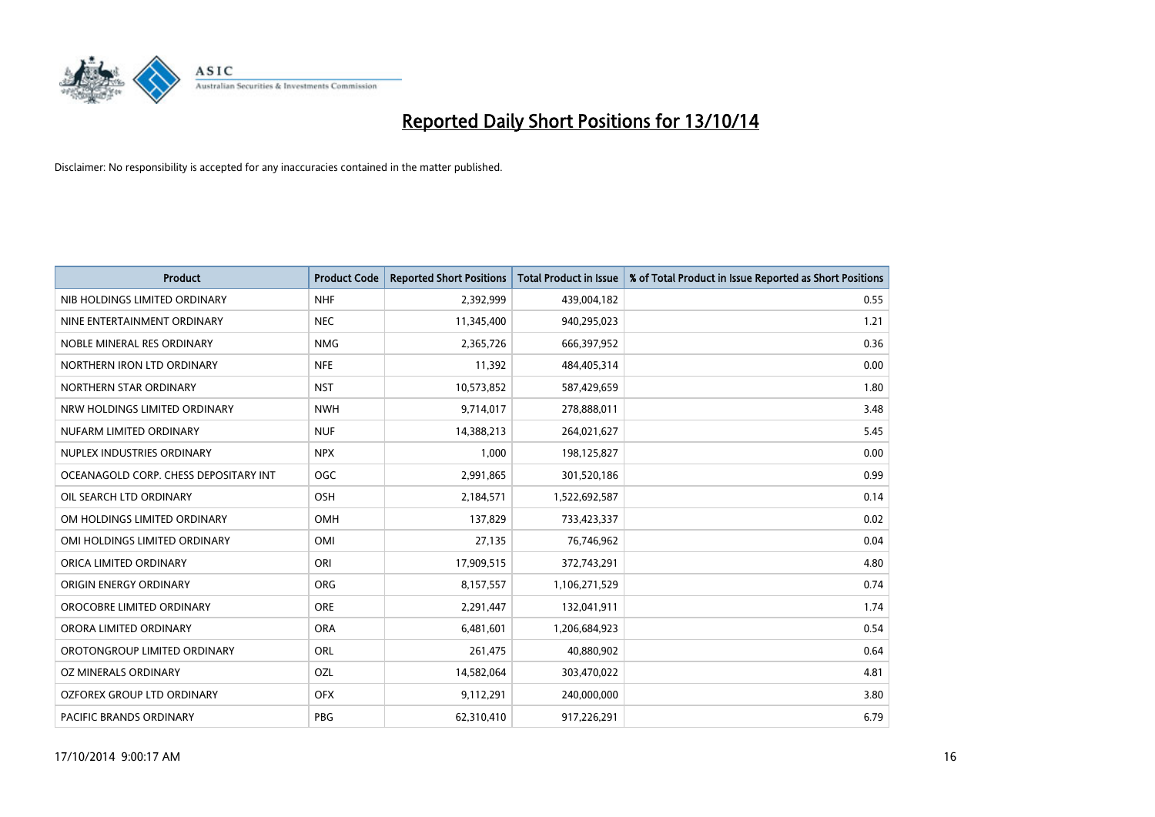

| <b>Product</b>                        | <b>Product Code</b> | <b>Reported Short Positions</b> | <b>Total Product in Issue</b> | % of Total Product in Issue Reported as Short Positions |
|---------------------------------------|---------------------|---------------------------------|-------------------------------|---------------------------------------------------------|
| NIB HOLDINGS LIMITED ORDINARY         | <b>NHF</b>          | 2,392,999                       | 439,004,182                   | 0.55                                                    |
| NINE ENTERTAINMENT ORDINARY           | <b>NEC</b>          | 11,345,400                      | 940,295,023                   | 1.21                                                    |
| NOBLE MINERAL RES ORDINARY            | <b>NMG</b>          | 2,365,726                       | 666,397,952                   | 0.36                                                    |
| NORTHERN IRON LTD ORDINARY            | <b>NFE</b>          | 11,392                          | 484,405,314                   | 0.00                                                    |
| NORTHERN STAR ORDINARY                | <b>NST</b>          | 10,573,852                      | 587,429,659                   | 1.80                                                    |
| NRW HOLDINGS LIMITED ORDINARY         | <b>NWH</b>          | 9,714,017                       | 278,888,011                   | 3.48                                                    |
| NUFARM LIMITED ORDINARY               | <b>NUF</b>          | 14,388,213                      | 264,021,627                   | 5.45                                                    |
| NUPLEX INDUSTRIES ORDINARY            | <b>NPX</b>          | 1,000                           | 198,125,827                   | 0.00                                                    |
| OCEANAGOLD CORP. CHESS DEPOSITARY INT | OGC                 | 2,991,865                       | 301,520,186                   | 0.99                                                    |
| OIL SEARCH LTD ORDINARY               | OSH                 | 2,184,571                       | 1,522,692,587                 | 0.14                                                    |
| OM HOLDINGS LIMITED ORDINARY          | OMH                 | 137,829                         | 733,423,337                   | 0.02                                                    |
| OMI HOLDINGS LIMITED ORDINARY         | <b>OMI</b>          | 27,135                          | 76,746,962                    | 0.04                                                    |
| ORICA LIMITED ORDINARY                | ORI                 | 17,909,515                      | 372,743,291                   | 4.80                                                    |
| ORIGIN ENERGY ORDINARY                | <b>ORG</b>          | 8,157,557                       | 1,106,271,529                 | 0.74                                                    |
| OROCOBRE LIMITED ORDINARY             | <b>ORE</b>          | 2,291,447                       | 132,041,911                   | 1.74                                                    |
| ORORA LIMITED ORDINARY                | <b>ORA</b>          | 6,481,601                       | 1,206,684,923                 | 0.54                                                    |
| OROTONGROUP LIMITED ORDINARY          | ORL                 | 261,475                         | 40,880,902                    | 0.64                                                    |
| <b>OZ MINERALS ORDINARY</b>           | OZL                 | 14,582,064                      | 303,470,022                   | 4.81                                                    |
| OZFOREX GROUP LTD ORDINARY            | <b>OFX</b>          | 9,112,291                       | 240,000,000                   | 3.80                                                    |
| PACIFIC BRANDS ORDINARY               | <b>PBG</b>          | 62,310,410                      | 917,226,291                   | 6.79                                                    |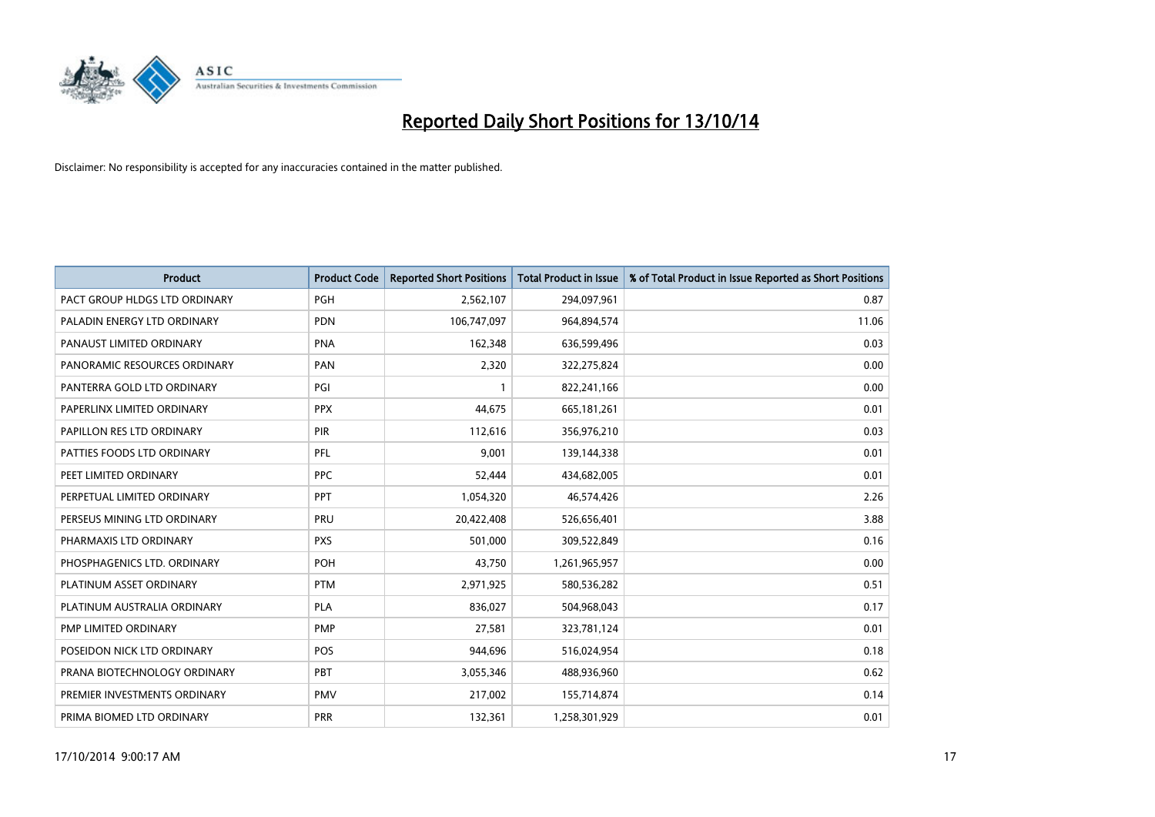

| <b>Product</b>                | <b>Product Code</b> | <b>Reported Short Positions</b> | <b>Total Product in Issue</b> | % of Total Product in Issue Reported as Short Positions |
|-------------------------------|---------------------|---------------------------------|-------------------------------|---------------------------------------------------------|
| PACT GROUP HLDGS LTD ORDINARY | <b>PGH</b>          | 2,562,107                       | 294,097,961                   | 0.87                                                    |
| PALADIN ENERGY LTD ORDINARY   | <b>PDN</b>          | 106,747,097                     | 964,894,574                   | 11.06                                                   |
| PANAUST LIMITED ORDINARY      | <b>PNA</b>          | 162,348                         | 636,599,496                   | 0.03                                                    |
| PANORAMIC RESOURCES ORDINARY  | <b>PAN</b>          | 2,320                           | 322,275,824                   | 0.00                                                    |
| PANTERRA GOLD LTD ORDINARY    | PGI                 | $\mathbf{1}$                    | 822,241,166                   | 0.00                                                    |
| PAPERLINX LIMITED ORDINARY    | <b>PPX</b>          | 44,675                          | 665, 181, 261                 | 0.01                                                    |
| PAPILLON RES LTD ORDINARY     | <b>PIR</b>          | 112,616                         | 356,976,210                   | 0.03                                                    |
| PATTIES FOODS LTD ORDINARY    | PFL                 | 9,001                           | 139,144,338                   | 0.01                                                    |
| PEET LIMITED ORDINARY         | <b>PPC</b>          | 52,444                          | 434,682,005                   | 0.01                                                    |
| PERPETUAL LIMITED ORDINARY    | PPT                 | 1,054,320                       | 46,574,426                    | 2.26                                                    |
| PERSEUS MINING LTD ORDINARY   | PRU                 | 20,422,408                      | 526,656,401                   | 3.88                                                    |
| PHARMAXIS LTD ORDINARY        | <b>PXS</b>          | 501,000                         | 309,522,849                   | 0.16                                                    |
| PHOSPHAGENICS LTD. ORDINARY   | POH                 | 43,750                          | 1,261,965,957                 | 0.00                                                    |
| PLATINUM ASSET ORDINARY       | <b>PTM</b>          | 2,971,925                       | 580,536,282                   | 0.51                                                    |
| PLATINUM AUSTRALIA ORDINARY   | <b>PLA</b>          | 836,027                         | 504,968,043                   | 0.17                                                    |
| PMP LIMITED ORDINARY          | <b>PMP</b>          | 27,581                          | 323,781,124                   | 0.01                                                    |
| POSEIDON NICK LTD ORDINARY    | POS                 | 944,696                         | 516,024,954                   | 0.18                                                    |
| PRANA BIOTECHNOLOGY ORDINARY  | PBT                 | 3,055,346                       | 488,936,960                   | 0.62                                                    |
| PREMIER INVESTMENTS ORDINARY  | <b>PMV</b>          | 217,002                         | 155,714,874                   | 0.14                                                    |
| PRIMA BIOMED LTD ORDINARY     | <b>PRR</b>          | 132,361                         | 1,258,301,929                 | 0.01                                                    |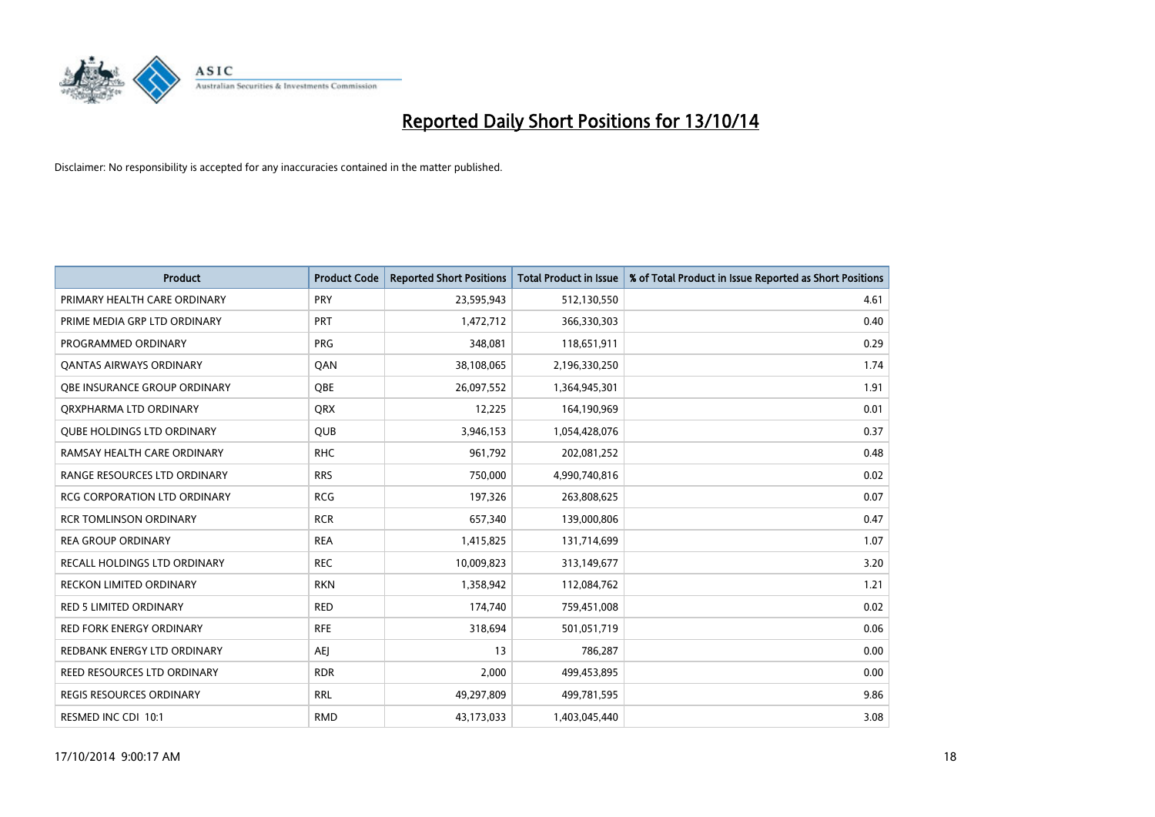

| <b>Product</b>                      | <b>Product Code</b> | <b>Reported Short Positions</b> | <b>Total Product in Issue</b> | % of Total Product in Issue Reported as Short Positions |
|-------------------------------------|---------------------|---------------------------------|-------------------------------|---------------------------------------------------------|
| PRIMARY HEALTH CARE ORDINARY        | <b>PRY</b>          | 23,595,943                      | 512,130,550                   | 4.61                                                    |
| PRIME MEDIA GRP LTD ORDINARY        | PRT                 | 1,472,712                       | 366,330,303                   | 0.40                                                    |
| PROGRAMMED ORDINARY                 | <b>PRG</b>          | 348,081                         | 118,651,911                   | 0.29                                                    |
| <b>QANTAS AIRWAYS ORDINARY</b>      | QAN                 | 38,108,065                      | 2,196,330,250                 | 1.74                                                    |
| OBE INSURANCE GROUP ORDINARY        | <b>OBE</b>          | 26,097,552                      | 1,364,945,301                 | 1.91                                                    |
| ORXPHARMA LTD ORDINARY              | QRX                 | 12,225                          | 164,190,969                   | 0.01                                                    |
| <b>QUBE HOLDINGS LTD ORDINARY</b>   | <b>QUB</b>          | 3,946,153                       | 1,054,428,076                 | 0.37                                                    |
| RAMSAY HEALTH CARE ORDINARY         | <b>RHC</b>          | 961,792                         | 202,081,252                   | 0.48                                                    |
| RANGE RESOURCES LTD ORDINARY        | <b>RRS</b>          | 750,000                         | 4,990,740,816                 | 0.02                                                    |
| <b>RCG CORPORATION LTD ORDINARY</b> | <b>RCG</b>          | 197,326                         | 263,808,625                   | 0.07                                                    |
| <b>RCR TOMLINSON ORDINARY</b>       | <b>RCR</b>          | 657,340                         | 139,000,806                   | 0.47                                                    |
| <b>REA GROUP ORDINARY</b>           | <b>REA</b>          | 1,415,825                       | 131,714,699                   | 1.07                                                    |
| RECALL HOLDINGS LTD ORDINARY        | <b>REC</b>          | 10,009,823                      | 313,149,677                   | 3.20                                                    |
| <b>RECKON LIMITED ORDINARY</b>      | <b>RKN</b>          | 1,358,942                       | 112,084,762                   | 1.21                                                    |
| <b>RED 5 LIMITED ORDINARY</b>       | <b>RED</b>          | 174,740                         | 759,451,008                   | 0.02                                                    |
| RED FORK ENERGY ORDINARY            | <b>RFE</b>          | 318,694                         | 501,051,719                   | 0.06                                                    |
| REDBANK ENERGY LTD ORDINARY         | AEJ                 | 13                              | 786,287                       | 0.00                                                    |
| REED RESOURCES LTD ORDINARY         | <b>RDR</b>          | 2,000                           | 499,453,895                   | 0.00                                                    |
| <b>REGIS RESOURCES ORDINARY</b>     | <b>RRL</b>          | 49,297,809                      | 499,781,595                   | 9.86                                                    |
| RESMED INC CDI 10:1                 | <b>RMD</b>          | 43,173,033                      | 1,403,045,440                 | 3.08                                                    |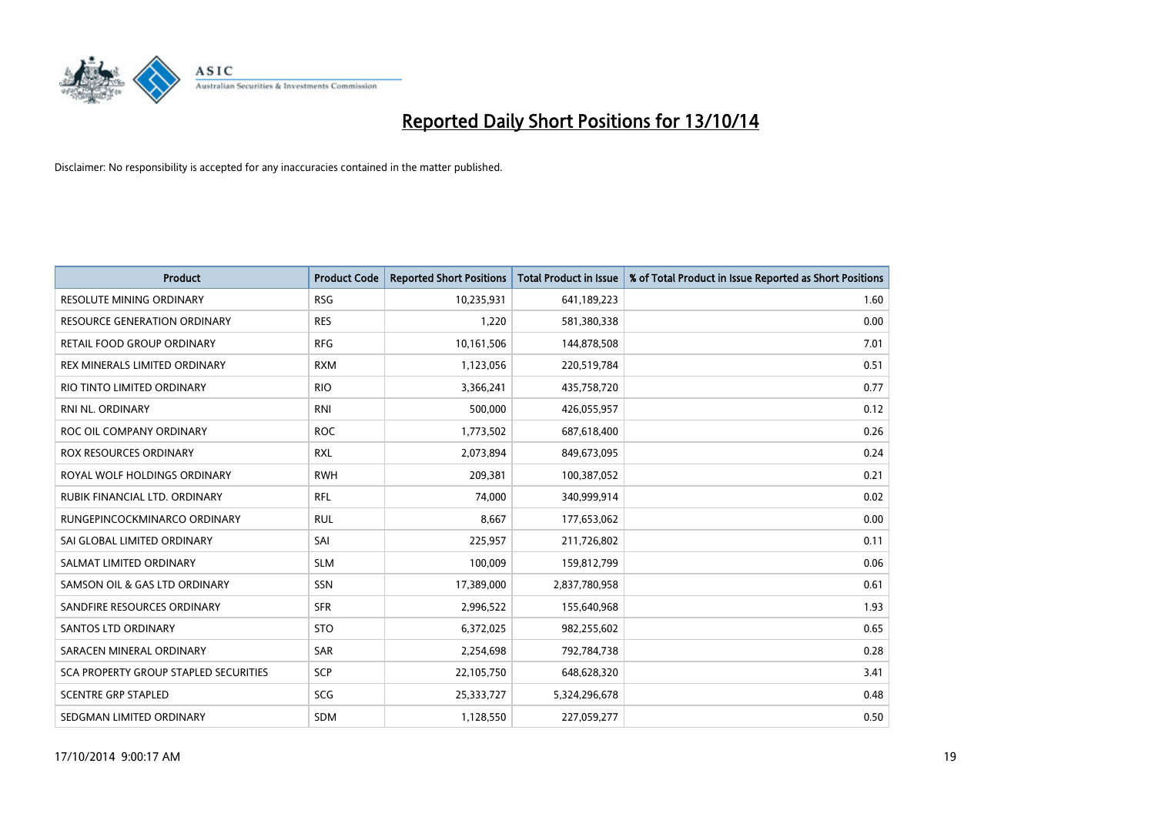

| <b>Product</b>                        | <b>Product Code</b> | <b>Reported Short Positions</b> | <b>Total Product in Issue</b> | % of Total Product in Issue Reported as Short Positions |
|---------------------------------------|---------------------|---------------------------------|-------------------------------|---------------------------------------------------------|
| <b>RESOLUTE MINING ORDINARY</b>       | <b>RSG</b>          | 10,235,931                      | 641,189,223                   | 1.60                                                    |
| RESOURCE GENERATION ORDINARY          | <b>RES</b>          | 1,220                           | 581,380,338                   | 0.00                                                    |
| RETAIL FOOD GROUP ORDINARY            | <b>RFG</b>          | 10,161,506                      | 144,878,508                   | 7.01                                                    |
| REX MINERALS LIMITED ORDINARY         | <b>RXM</b>          | 1,123,056                       | 220,519,784                   | 0.51                                                    |
| RIO TINTO LIMITED ORDINARY            | <b>RIO</b>          | 3,366,241                       | 435,758,720                   | 0.77                                                    |
| RNI NL. ORDINARY                      | <b>RNI</b>          | 500,000                         | 426,055,957                   | 0.12                                                    |
| ROC OIL COMPANY ORDINARY              | <b>ROC</b>          | 1,773,502                       | 687,618,400                   | 0.26                                                    |
| ROX RESOURCES ORDINARY                | <b>RXL</b>          | 2,073,894                       | 849,673,095                   | 0.24                                                    |
| ROYAL WOLF HOLDINGS ORDINARY          | <b>RWH</b>          | 209,381                         | 100,387,052                   | 0.21                                                    |
| RUBIK FINANCIAL LTD, ORDINARY         | RFL                 | 74,000                          | 340,999,914                   | 0.02                                                    |
| RUNGEPINCOCKMINARCO ORDINARY          | <b>RUL</b>          | 8,667                           | 177,653,062                   | 0.00                                                    |
| SAI GLOBAL LIMITED ORDINARY           | SAI                 | 225,957                         | 211,726,802                   | 0.11                                                    |
| SALMAT LIMITED ORDINARY               | <b>SLM</b>          | 100,009                         | 159,812,799                   | 0.06                                                    |
| SAMSON OIL & GAS LTD ORDINARY         | SSN                 | 17,389,000                      | 2,837,780,958                 | 0.61                                                    |
| SANDFIRE RESOURCES ORDINARY           | <b>SFR</b>          | 2,996,522                       | 155,640,968                   | 1.93                                                    |
| SANTOS LTD ORDINARY                   | <b>STO</b>          | 6,372,025                       | 982,255,602                   | 0.65                                                    |
| SARACEN MINERAL ORDINARY              | SAR                 | 2,254,698                       | 792,784,738                   | 0.28                                                    |
| SCA PROPERTY GROUP STAPLED SECURITIES | <b>SCP</b>          | 22,105,750                      | 648,628,320                   | 3.41                                                    |
| <b>SCENTRE GRP STAPLED</b>            | SCG                 | 25,333,727                      | 5,324,296,678                 | 0.48                                                    |
| SEDGMAN LIMITED ORDINARY              | <b>SDM</b>          | 1,128,550                       | 227,059,277                   | 0.50                                                    |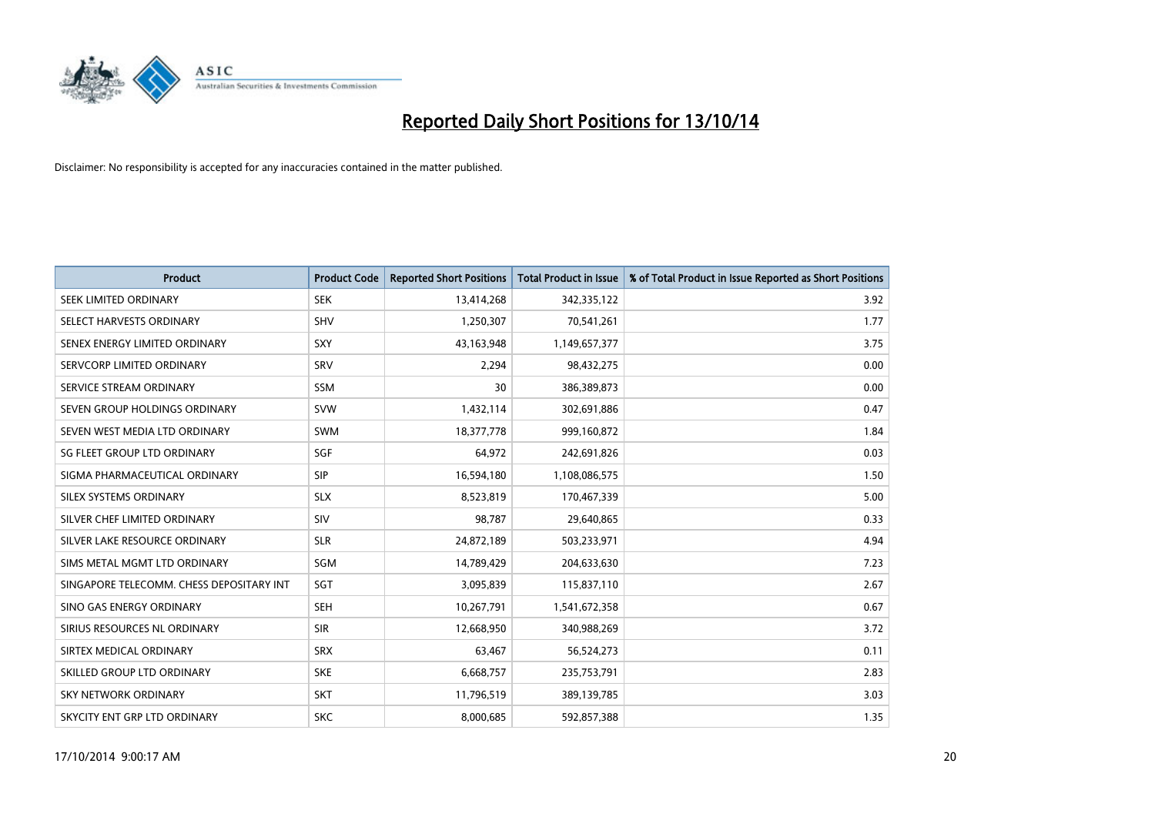

| <b>Product</b>                           | <b>Product Code</b> | <b>Reported Short Positions</b> | <b>Total Product in Issue</b> | % of Total Product in Issue Reported as Short Positions |
|------------------------------------------|---------------------|---------------------------------|-------------------------------|---------------------------------------------------------|
| SEEK LIMITED ORDINARY                    | <b>SEK</b>          | 13,414,268                      | 342,335,122                   | 3.92                                                    |
| SELECT HARVESTS ORDINARY                 | <b>SHV</b>          | 1,250,307                       | 70,541,261                    | 1.77                                                    |
| SENEX ENERGY LIMITED ORDINARY            | <b>SXY</b>          | 43,163,948                      | 1,149,657,377                 | 3.75                                                    |
| SERVCORP LIMITED ORDINARY                | SRV                 | 2,294                           | 98,432,275                    | 0.00                                                    |
| SERVICE STREAM ORDINARY                  | <b>SSM</b>          | 30                              | 386,389,873                   | 0.00                                                    |
| SEVEN GROUP HOLDINGS ORDINARY            | <b>SVW</b>          | 1,432,114                       | 302,691,886                   | 0.47                                                    |
| SEVEN WEST MEDIA LTD ORDINARY            | SWM                 | 18,377,778                      | 999,160,872                   | 1.84                                                    |
| SG FLEET GROUP LTD ORDINARY              | SGF                 | 64,972                          | 242,691,826                   | 0.03                                                    |
| SIGMA PHARMACEUTICAL ORDINARY            | <b>SIP</b>          | 16,594,180                      | 1,108,086,575                 | 1.50                                                    |
| SILEX SYSTEMS ORDINARY                   | <b>SLX</b>          | 8,523,819                       | 170,467,339                   | 5.00                                                    |
| SILVER CHEF LIMITED ORDINARY             | SIV                 | 98,787                          | 29,640,865                    | 0.33                                                    |
| SILVER LAKE RESOURCE ORDINARY            | <b>SLR</b>          | 24,872,189                      | 503,233,971                   | 4.94                                                    |
| SIMS METAL MGMT LTD ORDINARY             | SGM                 | 14,789,429                      | 204,633,630                   | 7.23                                                    |
| SINGAPORE TELECOMM. CHESS DEPOSITARY INT | SGT                 | 3,095,839                       | 115,837,110                   | 2.67                                                    |
| SINO GAS ENERGY ORDINARY                 | <b>SEH</b>          | 10,267,791                      | 1,541,672,358                 | 0.67                                                    |
| SIRIUS RESOURCES NL ORDINARY             | <b>SIR</b>          | 12,668,950                      | 340,988,269                   | 3.72                                                    |
| SIRTEX MEDICAL ORDINARY                  | <b>SRX</b>          | 63,467                          | 56,524,273                    | 0.11                                                    |
| SKILLED GROUP LTD ORDINARY               | <b>SKE</b>          | 6,668,757                       | 235,753,791                   | 2.83                                                    |
| <b>SKY NETWORK ORDINARY</b>              | <b>SKT</b>          | 11,796,519                      | 389,139,785                   | 3.03                                                    |
| SKYCITY ENT GRP LTD ORDINARY             | <b>SKC</b>          | 8,000,685                       | 592,857,388                   | 1.35                                                    |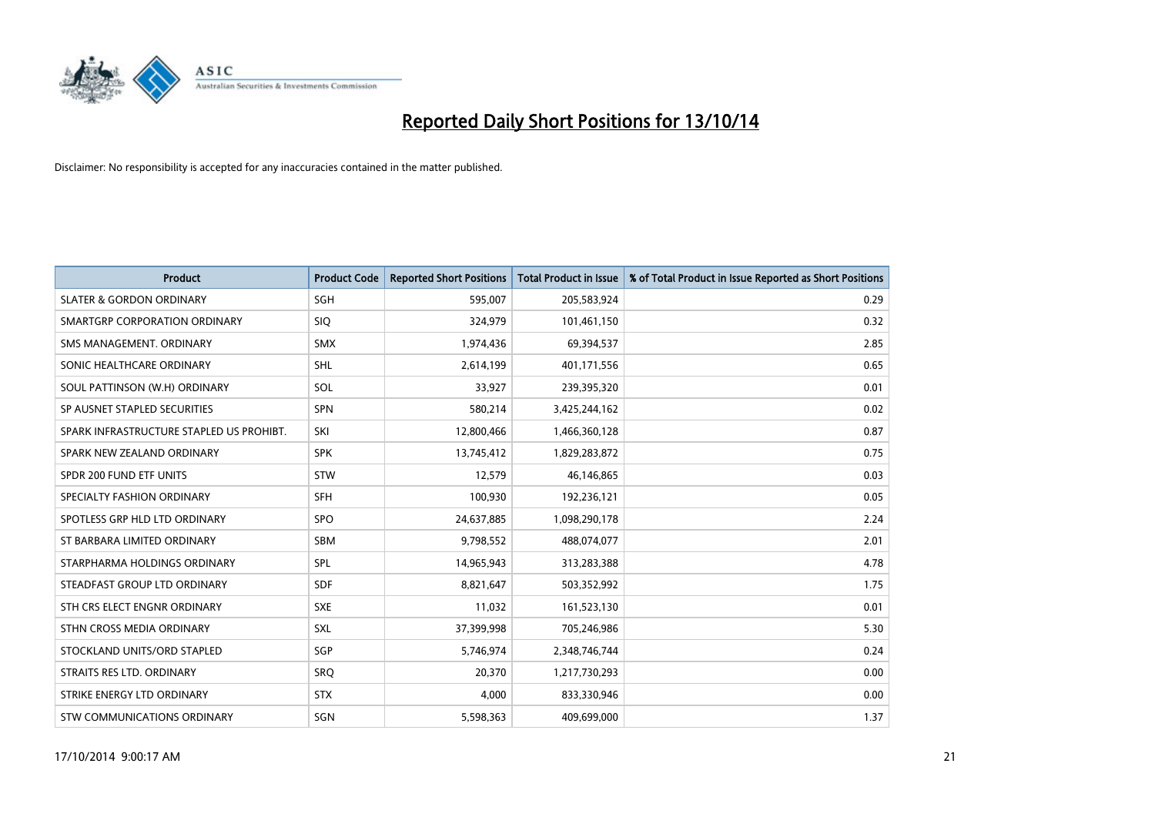

| Product                                  | <b>Product Code</b> | <b>Reported Short Positions</b> | <b>Total Product in Issue</b> | % of Total Product in Issue Reported as Short Positions |
|------------------------------------------|---------------------|---------------------------------|-------------------------------|---------------------------------------------------------|
| <b>SLATER &amp; GORDON ORDINARY</b>      | SGH                 | 595,007                         | 205,583,924                   | 0.29                                                    |
| SMARTGRP CORPORATION ORDINARY            | <b>SIQ</b>          | 324,979                         | 101,461,150                   | 0.32                                                    |
| SMS MANAGEMENT, ORDINARY                 | <b>SMX</b>          | 1,974,436                       | 69,394,537                    | 2.85                                                    |
| SONIC HEALTHCARE ORDINARY                | <b>SHL</b>          | 2,614,199                       | 401,171,556                   | 0.65                                                    |
| SOUL PATTINSON (W.H) ORDINARY            | SOL                 | 33,927                          | 239,395,320                   | 0.01                                                    |
| SP AUSNET STAPLED SECURITIES             | <b>SPN</b>          | 580,214                         | 3,425,244,162                 | 0.02                                                    |
| SPARK INFRASTRUCTURE STAPLED US PROHIBT. | SKI                 | 12,800,466                      | 1,466,360,128                 | 0.87                                                    |
| SPARK NEW ZEALAND ORDINARY               | <b>SPK</b>          | 13,745,412                      | 1,829,283,872                 | 0.75                                                    |
| SPDR 200 FUND ETF UNITS                  | <b>STW</b>          | 12,579                          | 46,146,865                    | 0.03                                                    |
| SPECIALTY FASHION ORDINARY               | <b>SFH</b>          | 100,930                         | 192,236,121                   | 0.05                                                    |
| SPOTLESS GRP HLD LTD ORDINARY            | <b>SPO</b>          | 24,637,885                      | 1,098,290,178                 | 2.24                                                    |
| ST BARBARA LIMITED ORDINARY              | <b>SBM</b>          | 9,798,552                       | 488,074,077                   | 2.01                                                    |
| STARPHARMA HOLDINGS ORDINARY             | SPL                 | 14,965,943                      | 313,283,388                   | 4.78                                                    |
| STEADFAST GROUP LTD ORDINARY             | <b>SDF</b>          | 8,821,647                       | 503,352,992                   | 1.75                                                    |
| STH CRS ELECT ENGNR ORDINARY             | <b>SXE</b>          | 11,032                          | 161,523,130                   | 0.01                                                    |
| STHN CROSS MEDIA ORDINARY                | <b>SXL</b>          | 37,399,998                      | 705,246,986                   | 5.30                                                    |
| STOCKLAND UNITS/ORD STAPLED              | SGP                 | 5,746,974                       | 2,348,746,744                 | 0.24                                                    |
| STRAITS RES LTD. ORDINARY                | <b>SRQ</b>          | 20,370                          | 1,217,730,293                 | 0.00                                                    |
| STRIKE ENERGY LTD ORDINARY               | <b>STX</b>          | 4,000                           | 833,330,946                   | 0.00                                                    |
| STW COMMUNICATIONS ORDINARY              | SGN                 | 5,598,363                       | 409,699,000                   | 1.37                                                    |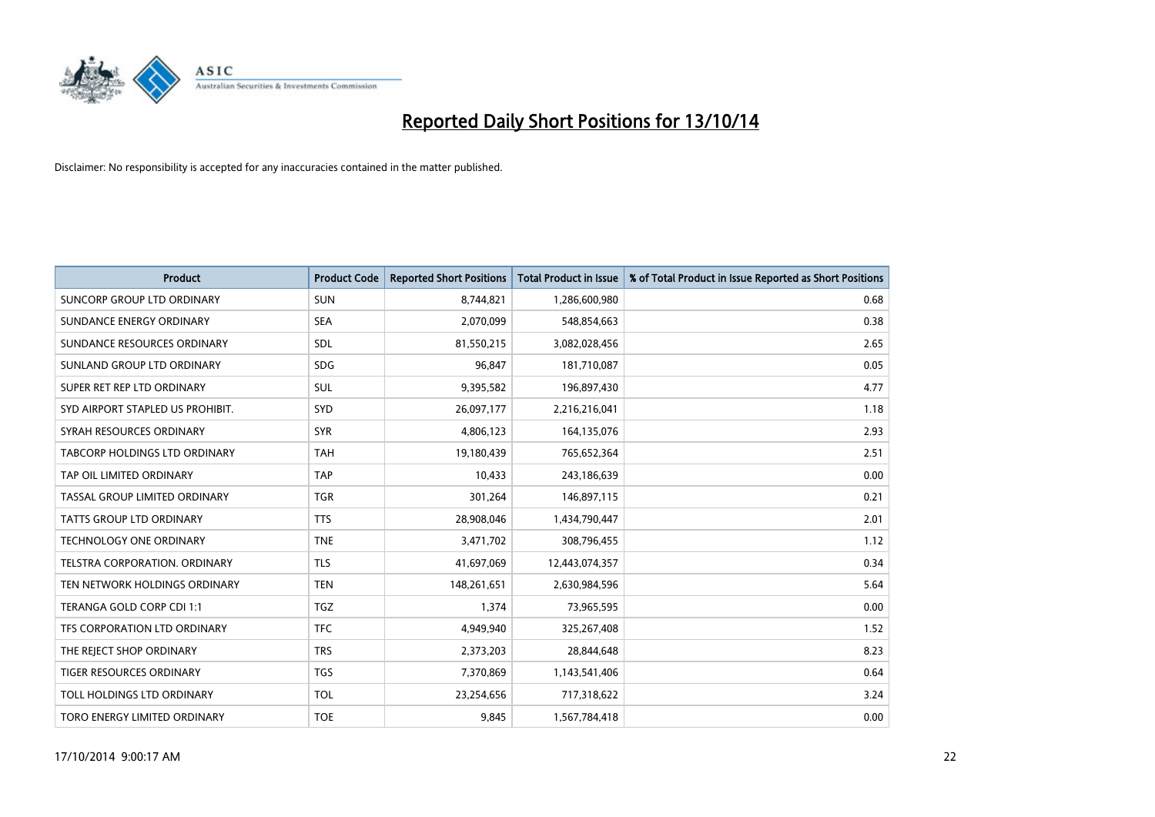

| <b>Product</b>                      | <b>Product Code</b> | <b>Reported Short Positions</b> | <b>Total Product in Issue</b> | % of Total Product in Issue Reported as Short Positions |
|-------------------------------------|---------------------|---------------------------------|-------------------------------|---------------------------------------------------------|
| <b>SUNCORP GROUP LTD ORDINARY</b>   | <b>SUN</b>          | 8,744,821                       | 1,286,600,980                 | 0.68                                                    |
| SUNDANCE ENERGY ORDINARY            | <b>SEA</b>          | 2,070,099                       | 548,854,663                   | 0.38                                                    |
| SUNDANCE RESOURCES ORDINARY         | SDL                 | 81,550,215                      | 3,082,028,456                 | 2.65                                                    |
| SUNLAND GROUP LTD ORDINARY          | <b>SDG</b>          | 96.847                          | 181,710,087                   | 0.05                                                    |
| SUPER RET REP LTD ORDINARY          | SUL                 | 9,395,582                       | 196,897,430                   | 4.77                                                    |
| SYD AIRPORT STAPLED US PROHIBIT.    | <b>SYD</b>          | 26,097,177                      | 2,216,216,041                 | 1.18                                                    |
| SYRAH RESOURCES ORDINARY            | <b>SYR</b>          | 4,806,123                       | 164,135,076                   | 2.93                                                    |
| TABCORP HOLDINGS LTD ORDINARY       | <b>TAH</b>          | 19,180,439                      | 765,652,364                   | 2.51                                                    |
| TAP OIL LIMITED ORDINARY            | <b>TAP</b>          | 10,433                          | 243,186,639                   | 0.00                                                    |
| TASSAL GROUP LIMITED ORDINARY       | <b>TGR</b>          | 301,264                         | 146,897,115                   | 0.21                                                    |
| TATTS GROUP LTD ORDINARY            | <b>TTS</b>          | 28,908,046                      | 1,434,790,447                 | 2.01                                                    |
| <b>TECHNOLOGY ONE ORDINARY</b>      | <b>TNE</b>          | 3,471,702                       | 308,796,455                   | 1.12                                                    |
| TELSTRA CORPORATION. ORDINARY       | <b>TLS</b>          | 41,697,069                      | 12,443,074,357                | 0.34                                                    |
| TEN NETWORK HOLDINGS ORDINARY       | <b>TEN</b>          | 148,261,651                     | 2,630,984,596                 | 5.64                                                    |
| TERANGA GOLD CORP CDI 1:1           | <b>TGZ</b>          | 1,374                           | 73,965,595                    | 0.00                                                    |
| TFS CORPORATION LTD ORDINARY        | <b>TFC</b>          | 4,949,940                       | 325,267,408                   | 1.52                                                    |
| THE REJECT SHOP ORDINARY            | <b>TRS</b>          | 2,373,203                       | 28,844,648                    | 8.23                                                    |
| <b>TIGER RESOURCES ORDINARY</b>     | <b>TGS</b>          | 7,370,869                       | 1,143,541,406                 | 0.64                                                    |
| TOLL HOLDINGS LTD ORDINARY          | <b>TOL</b>          | 23,254,656                      | 717,318,622                   | 3.24                                                    |
| <b>TORO ENERGY LIMITED ORDINARY</b> | <b>TOE</b>          | 9,845                           | 1,567,784,418                 | 0.00                                                    |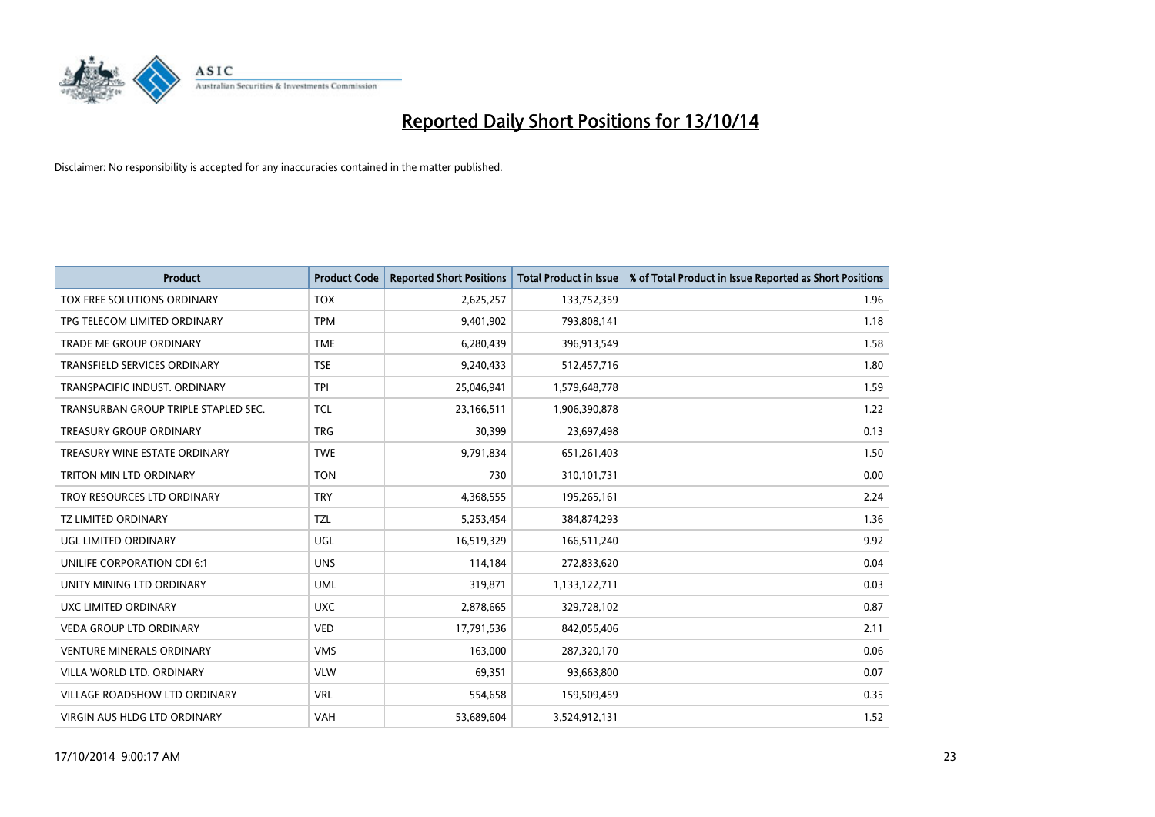

| <b>Product</b>                       | <b>Product Code</b> | <b>Reported Short Positions</b> | <b>Total Product in Issue</b> | % of Total Product in Issue Reported as Short Positions |
|--------------------------------------|---------------------|---------------------------------|-------------------------------|---------------------------------------------------------|
| TOX FREE SOLUTIONS ORDINARY          | <b>TOX</b>          | 2,625,257                       | 133,752,359                   | 1.96                                                    |
| TPG TELECOM LIMITED ORDINARY         | <b>TPM</b>          | 9,401,902                       | 793,808,141                   | 1.18                                                    |
| <b>TRADE ME GROUP ORDINARY</b>       | <b>TME</b>          | 6,280,439                       | 396,913,549                   | 1.58                                                    |
| TRANSFIELD SERVICES ORDINARY         | <b>TSE</b>          | 9,240,433                       | 512,457,716                   | 1.80                                                    |
| TRANSPACIFIC INDUST, ORDINARY        | <b>TPI</b>          | 25,046,941                      | 1,579,648,778                 | 1.59                                                    |
| TRANSURBAN GROUP TRIPLE STAPLED SEC. | <b>TCL</b>          | 23,166,511                      | 1,906,390,878                 | 1.22                                                    |
| <b>TREASURY GROUP ORDINARY</b>       | <b>TRG</b>          | 30,399                          | 23,697,498                    | 0.13                                                    |
| TREASURY WINE ESTATE ORDINARY        | <b>TWE</b>          | 9,791,834                       | 651,261,403                   | 1.50                                                    |
| <b>TRITON MIN LTD ORDINARY</b>       | <b>TON</b>          | 730                             | 310,101,731                   | 0.00                                                    |
| TROY RESOURCES LTD ORDINARY          | <b>TRY</b>          | 4,368,555                       | 195,265,161                   | 2.24                                                    |
| <b>TZ LIMITED ORDINARY</b>           | <b>TZL</b>          | 5,253,454                       | 384,874,293                   | 1.36                                                    |
| UGL LIMITED ORDINARY                 | UGL                 | 16,519,329                      | 166,511,240                   | 9.92                                                    |
| UNILIFE CORPORATION CDI 6:1          | <b>UNS</b>          | 114,184                         | 272,833,620                   | 0.04                                                    |
| UNITY MINING LTD ORDINARY            | <b>UML</b>          | 319,871                         | 1,133,122,711                 | 0.03                                                    |
| UXC LIMITED ORDINARY                 | <b>UXC</b>          | 2,878,665                       | 329,728,102                   | 0.87                                                    |
| <b>VEDA GROUP LTD ORDINARY</b>       | <b>VED</b>          | 17,791,536                      | 842,055,406                   | 2.11                                                    |
| <b>VENTURE MINERALS ORDINARY</b>     | <b>VMS</b>          | 163,000                         | 287,320,170                   | 0.06                                                    |
| VILLA WORLD LTD, ORDINARY            | <b>VLW</b>          | 69,351                          | 93,663,800                    | 0.07                                                    |
| <b>VILLAGE ROADSHOW LTD ORDINARY</b> | <b>VRL</b>          | 554,658                         | 159,509,459                   | 0.35                                                    |
| VIRGIN AUS HLDG LTD ORDINARY         | <b>VAH</b>          | 53,689,604                      | 3,524,912,131                 | 1.52                                                    |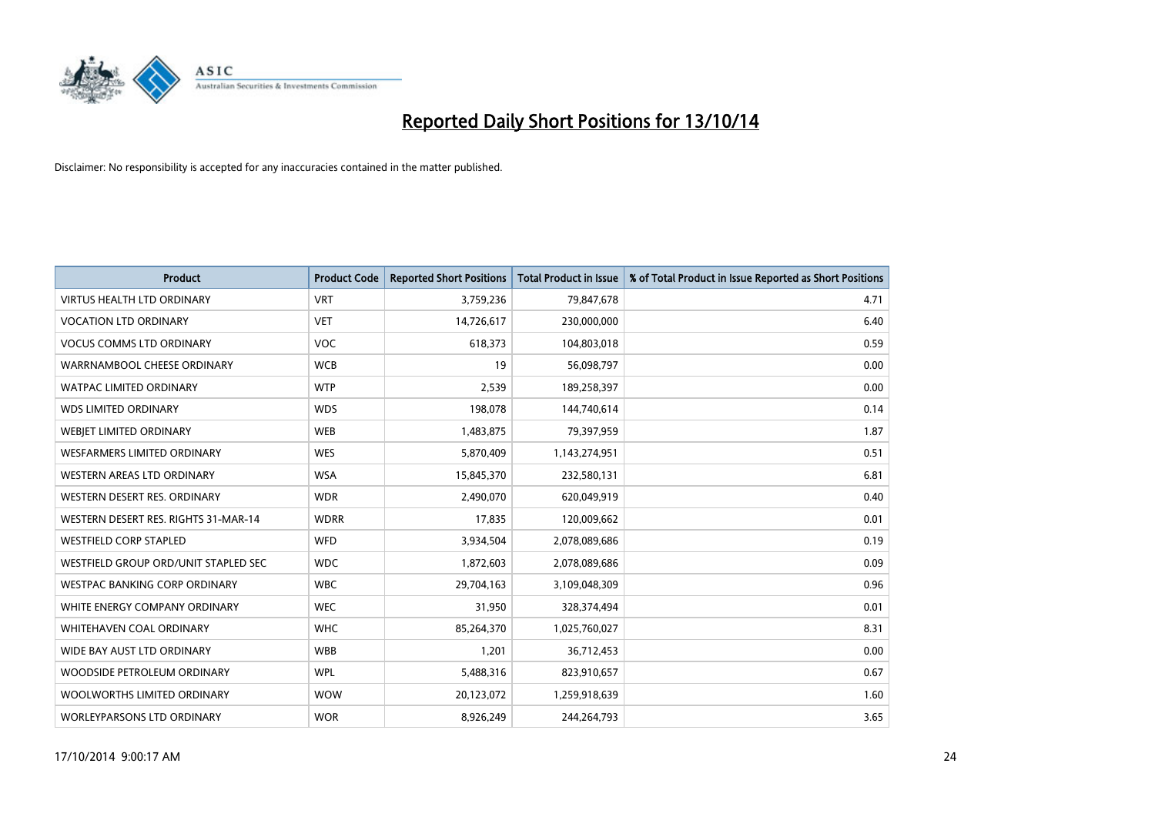

| <b>Product</b>                       | <b>Product Code</b> | <b>Reported Short Positions</b> | <b>Total Product in Issue</b> | % of Total Product in Issue Reported as Short Positions |
|--------------------------------------|---------------------|---------------------------------|-------------------------------|---------------------------------------------------------|
| <b>VIRTUS HEALTH LTD ORDINARY</b>    | <b>VRT</b>          | 3,759,236                       | 79,847,678                    | 4.71                                                    |
| <b>VOCATION LTD ORDINARY</b>         | <b>VET</b>          | 14,726,617                      | 230,000,000                   | 6.40                                                    |
| <b>VOCUS COMMS LTD ORDINARY</b>      | <b>VOC</b>          | 618,373                         | 104,803,018                   | 0.59                                                    |
| WARRNAMBOOL CHEESE ORDINARY          | <b>WCB</b>          | 19                              | 56,098,797                    | 0.00                                                    |
| <b>WATPAC LIMITED ORDINARY</b>       | <b>WTP</b>          | 2,539                           | 189,258,397                   | 0.00                                                    |
| <b>WDS LIMITED ORDINARY</b>          | <b>WDS</b>          | 198,078                         | 144,740,614                   | 0.14                                                    |
| WEBJET LIMITED ORDINARY              | <b>WEB</b>          | 1,483,875                       | 79,397,959                    | 1.87                                                    |
| <b>WESFARMERS LIMITED ORDINARY</b>   | <b>WES</b>          | 5,870,409                       | 1,143,274,951                 | 0.51                                                    |
| <b>WESTERN AREAS LTD ORDINARY</b>    | <b>WSA</b>          | 15,845,370                      | 232,580,131                   | 6.81                                                    |
| WESTERN DESERT RES. ORDINARY         | <b>WDR</b>          | 2,490,070                       | 620,049,919                   | 0.40                                                    |
| WESTERN DESERT RES. RIGHTS 31-MAR-14 | <b>WDRR</b>         | 17,835                          | 120,009,662                   | 0.01                                                    |
| <b>WESTFIELD CORP STAPLED</b>        | <b>WFD</b>          | 3,934,504                       | 2,078,089,686                 | 0.19                                                    |
| WESTFIELD GROUP ORD/UNIT STAPLED SEC | <b>WDC</b>          | 1,872,603                       | 2,078,089,686                 | 0.09                                                    |
| <b>WESTPAC BANKING CORP ORDINARY</b> | <b>WBC</b>          | 29,704,163                      | 3,109,048,309                 | 0.96                                                    |
| WHITE ENERGY COMPANY ORDINARY        | <b>WEC</b>          | 31,950                          | 328,374,494                   | 0.01                                                    |
| WHITEHAVEN COAL ORDINARY             | <b>WHC</b>          | 85,264,370                      | 1,025,760,027                 | 8.31                                                    |
| WIDE BAY AUST LTD ORDINARY           | <b>WBB</b>          | 1,201                           | 36,712,453                    | 0.00                                                    |
| WOODSIDE PETROLEUM ORDINARY          | <b>WPL</b>          | 5,488,316                       | 823,910,657                   | 0.67                                                    |
| WOOLWORTHS LIMITED ORDINARY          | <b>WOW</b>          | 20,123,072                      | 1,259,918,639                 | 1.60                                                    |
| WORLEYPARSONS LTD ORDINARY           | <b>WOR</b>          | 8,926,249                       | 244,264,793                   | 3.65                                                    |